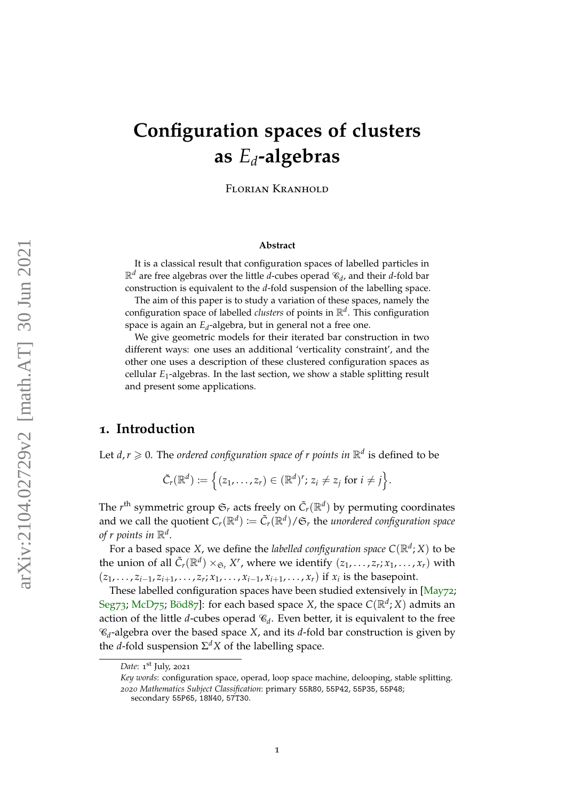# <span id="page-0-0"></span>**Configuration spaces of clusters as** *Ed***-algebras**

Florian Kranhold

#### **Abstract**

It is a classical result that configuration spaces of labelled particles in  $\mathbb{R}^d$  are free algebras over the little *d*-cubes operad  $\mathscr{C}_d$ , and their *d*-fold bar construction is equivalent to the *d*-fold suspension of the labelling space.

The aim of this paper is to study a variation of these spaces, namely the configuration space of labelled *clusters* of points in R*<sup>d</sup>* . This configuration space is again an *E<sup>d</sup>* -algebra, but in general not a free one.

We give geometric models for their iterated bar construction in two different ways: one uses an additional 'verticality constraint', and the other one uses a description of these clustered configuration spaces as cellular *E*1-algebras. In the last section, we show a stable splitting result and present some applications.

### **1. Introduction**

Let  $d, r \geqslant 0$ . The *ordered configuration space of r points in*  $\mathbb{R}^d$  is defined to be

$$
\tilde{C}_r(\mathbb{R}^d):=\Big\{(z_1,\ldots,z_r)\in(\mathbb{R}^d)^r;\,z_i\neq z_j\text{ for }i\neq j\Big\}.
$$

The  $r^{\text{th}}$  symmetric group  $\mathfrak{S}_r$  acts freely on  $\tilde{C}_r(\mathbb{R}^d)$  by permuting coordinates and we call the quotient  $C_r(\mathbb{R}^d) := \tilde{C}_r(\mathbb{R}^d) / \mathfrak{S}_r$  the *unordered configuration space of r points in*  $\mathbb{R}^d$ .

For a based space X, we define the *labelled configuration space*  $C(\mathbb{R}^d; X)$  to be the union of all  $\tilde{C}_r(\mathbb{R}^d) \times_{\mathfrak{S}_r} X^r$ , where we identify  $(z_1, \ldots, z_r; x_1, \ldots, x_r)$  with  $(z_1, \ldots, z_{i-1}, z_{i+1}, \ldots, z_r; x_1, \ldots, x_{i-1}, x_{i+1}, \ldots, x_r)$  if  $x_i$  is the basepoint.

These labelled configuration spaces have been studied extensively in [\[May](#page-27-0)72; [Seg](#page-27-1)73; [McD](#page-27-2)75; [Böd](#page-26-0)87]: for each based space *X*, the space *C*(R*<sup>d</sup>* ; *X*) admits an action of the little *d*-cubes operad  $\mathcal{C}_d$ . Even better, it is equivalent to the free C*d* -algebra over the based space *X*, and its *d*-fold bar construction is given by the *d*-fold suspension  $\Sigma^d X$  of the labelling space.

Date: 1<sup>st</sup> July, 2021

*Key words*: configuration space, operad, loop space machine, delooping, stable splitting. *2020 Mathematics Subject Classification*: primary 55R80, 55P42, 55P35, 55P48;

secondary 55P65, 18N40, 57T30.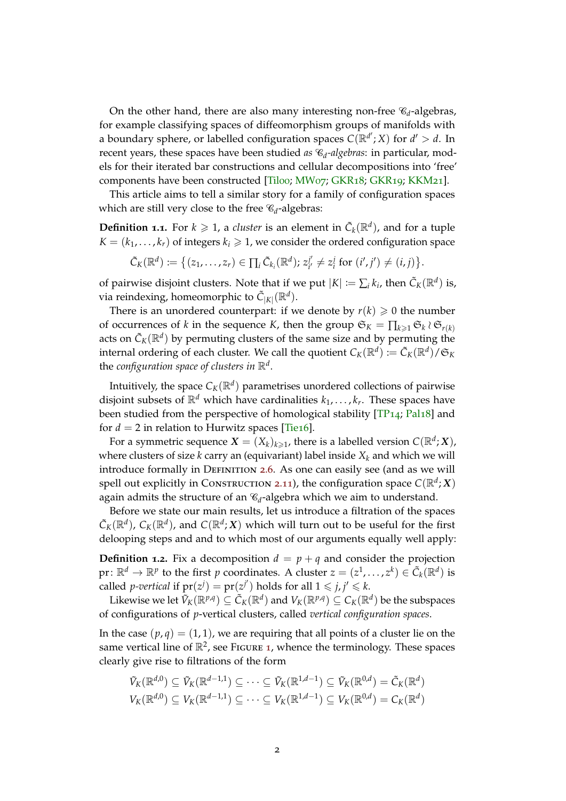<span id="page-1-0"></span>On the other hand, there are also many interesting non-free  $\mathscr{C}_d$ -algebras, for example classifying spaces of diffeomorphism groups of manifolds with a boundary sphere, or labelled configuration spaces  $C(\mathbb{R}^{d'};X)$  for  $d' > d$ . In recent years, these spaces have been studied *as* C*<sup>d</sup> -algebras*: in particular, models for their iterated bar constructions and cellular decompositions into 'free' components have been constructed [\[Til](#page-28-0)oo; [MW](#page-27-3)07; [GKR](#page-27-5)18; GKR19; [KKM](#page-27-6)21].

This article aims to tell a similar story for a family of configuration spaces which are still very close to the free  $\mathscr{C}_d$ -algebras:

**Definition 1.1.** For  $k \geq 1$ , a *cluster* is an element in  $\tilde{C}_k(\mathbb{R}^d)$ , and for a tuple  $K = (k_1, \ldots, k_r)$  of integers  $k_i \geq 1$ , we consider the ordered configuration space

$$
\tilde{C}_K(\mathbb{R}^d) \coloneqq \big\{ (z_1, \ldots, z_r) \in \prod_i \tilde{C}_{k_i}(\mathbb{R}^d); z_{i'}^{j'} \neq z_i^j \text{ for } (i', j') \neq (i, j) \big\}.
$$

of pairwise disjoint clusters. Note that if we put  $|K| := \sum_i k_i$ , then  $\tilde{C}_K(\mathbb{R}^d)$  is, via reindexing, homeomorphic to  $\tilde{C}_{|K|}(\mathbb{R}^d)$ .

There is an unordered counterpart: if we denote by  $r(k) \geq 0$  the number of occurrences of *k* in the sequence *K*, then the group  $\mathfrak{S}_K = \prod_{k \geq 1} \mathfrak{S}_k \wr \mathfrak{S}_{r(k)}$ acts on  $\tilde{C}_K(\mathbb{R}^d)$  by permuting clusters of the same size and by permuting the internal ordering of each cluster. We call the quotient  $C_K(\mathbb{R}^d) := \tilde{C}_K(\mathbb{R}^d)/\mathfrak{S}_K$ the *configuration space of clusters in* R*<sup>d</sup>* .

Intuitively, the space  $\mathcal{C}_K(\mathbb{R}^d)$  parametrises unordered collections of pairwise disjoint subsets of  $\mathbb{R}^d$  which have cardinalities  $k_1, \ldots, k_r$ . These spaces have been studied from the perspective of homological stability [\[TP](#page-28-1)14; [Pal](#page-27-7)18] and for  $d = 2$  in relation to Hurwitz spaces [\[Tie](#page-28-2)16].

For a symmetric sequence  $\boldsymbol{X} = (X_k)_{k \geqslant 1}$ , there is a labelled version  $C(\mathbb{R}^d; \boldsymbol{X})$ , where clusters of size  $k$  carry an (equivariant) label inside  $X_k$  and which we will introduce formally in DEFINITION [2](#page-5-0).6. As one can easily see (and as we will spell out explicitly in Construction 2.[11](#page-6-0)), the configuration space  $C(\mathbb{R}^d; X)$ again admits the structure of an  $\mathcal{C}_d$ -algebra which we aim to understand.

Before we state our main results, let us introduce a filtration of the spaces  $\tilde{C}_K(\mathbb{R}^d)$ ,  $C_K(\mathbb{R}^d)$ , and  $C(\mathbb{R}^d; X)$  which will turn out to be useful for the first delooping steps and and to which most of our arguments equally well apply:

**Definition 1.2.** Fix a decomposition  $d = p + q$  and consider the projection  $\mathrm{pr}\colon\mathbb{R}^d\to\mathbb{R}^p$  to the first  $p$  coordinates. A cluster  $z=(z^1,\ldots,z^k)\in\tilde{\mathcal{C}}_k(\mathbb{R}^d)$  is called *p*-vertical if  $pr(z^j) = pr(z^{j'})$  holds for all  $1 \le j, j' \le k$ .

Likewise we let  $\tilde{V}_K(\R^{p,q})\subseteq \tilde{C}_K(\R^d)$  and  $V_K(\R^{p,q})\subseteq C_K(\R^d)$  be the subspaces of configurations of *p*-vertical clusters, called *vertical configuration spaces*.

In the case  $(p, q) = (1, 1)$ , we are requiring that all points of a cluster lie on the same vertical line of  $\mathbb{R}^2$ , see Figure [1](#page-2-0), whence the terminology. These spaces clearly give rise to filtrations of the form

$$
\tilde{V}_K(\mathbb{R}^{d,0}) \subseteq \tilde{V}_K(\mathbb{R}^{d-1,1}) \subseteq \cdots \subseteq \tilde{V}_K(\mathbb{R}^{1,d-1}) \subseteq \tilde{V}_K(\mathbb{R}^{0,d}) = \tilde{C}_K(\mathbb{R}^d)
$$
  

$$
V_K(\mathbb{R}^{d,0}) \subseteq V_K(\mathbb{R}^{d-1,1}) \subseteq \cdots \subseteq V_K(\mathbb{R}^{1,d-1}) \subseteq V_K(\mathbb{R}^{0,d}) = C_K(\mathbb{R}^d)
$$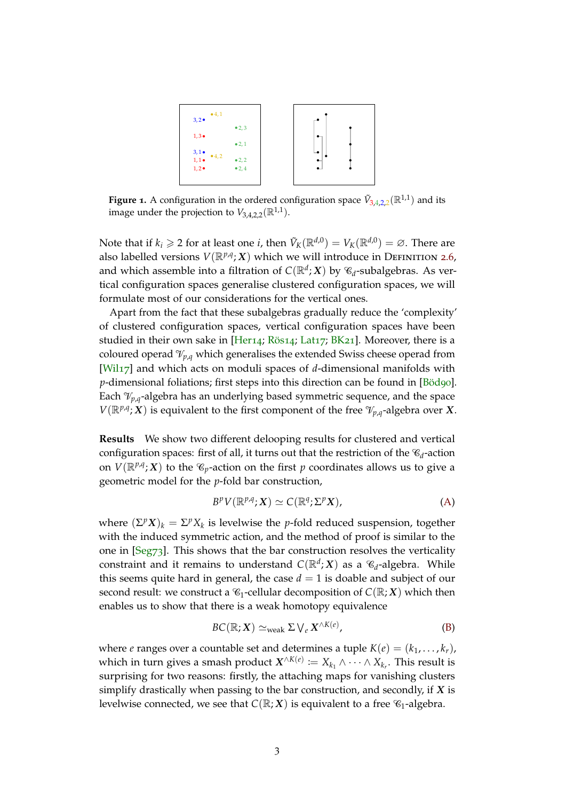<span id="page-2-1"></span><span id="page-2-0"></span>

**Figure 1.** A configuration in the ordered configuration space  $\tilde{V}_{3,4,2,2}(\mathbb{R}^{1,1})$  and its image under the projection to  $V_{3,4,2,2}(\mathbb{R}^{1,1})$ .

Note that if  $k_i \geqslant 2$  for at least one *i*, then  $\tilde{V}_K(\mathbb{R}^{d,0})=V_K(\mathbb{R}^{d,0})=\varnothing.$  There are also labelled versions  $V(\mathbb{R}^{p,q}; X)$  which we will introduce in DEFINITION [2](#page-5-0).6, and which assemble into a filtration of  $C(\mathbb{R}^d;X)$  by  $\mathscr{C}_d$ -subalgebras. As vertical configuration spaces generalise clustered configuration spaces, we will formulate most of our considerations for the vertical ones.

Apart from the fact that these subalgebras gradually reduce the 'complexity' of clustered configuration spaces, vertical configuration spaces have been studied in their own sake in [\[Her](#page-27-8)14; [Rös](#page-27-9)14; [Lat](#page-27-10)17; [BK](#page-26-1)21]. Moreover, there is a coloured operad  $\mathcal{V}_{p,q}$  which generalises the extended Swiss cheese operad from [\[Wil](#page-28-3)17] and which acts on moduli spaces of *d*-dimensional manifolds with *p*-dimensional foliations; first steps into this direction can be found in [\[Böd](#page-26-2)90]. Each  $\mathcal{V}_{p,q}$ -algebra has an underlying based symmetric sequence, and the space  $V(\mathbb{R}^{p,q}; X)$  is equivalent to the first component of the free  $\mathcal{V}_{p,q}$ -algebra over *X*.

**Results** We show two different delooping results for clustered and vertical configuration spaces: first of all, it turns out that the restriction of the  $\mathcal{C}_d$ -action on  $V(\mathbb{R}^{p,q}; X)$  to the  $\mathscr{C}_p$ -action on the first  $p$  coordinates allows us to give a geometric model for the *p*-fold bar construction,

$$
B^p V(\mathbb{R}^{p,q}; X) \simeq C(\mathbb{R}^q; \Sigma^p X), \tag{A}
$$

where  $(\Sigma^p X)_k = \Sigma^p X_k$  is levelwise the *p*-fold reduced suspension, together with the induced symmetric action, and the method of proof is similar to the one in [\[Seg](#page-27-1)73]. This shows that the bar construction resolves the verticality constraint and it remains to understand  $C(\mathbb{R}^d; X)$  as a  $\mathscr{C}_d$ -algebra. While this seems quite hard in general, the case  $d = 1$  is doable and subject of our second result: we construct a  $\mathcal{C}_1$ -cellular decomposition of  $C(\mathbb{R}; X)$  which then enables us to show that there is a weak homotopy equivalence

$$
BC(\mathbb{R}; X) \simeq_{\text{weak}} \Sigma \bigvee_e X^{\wedge K(e)}, \tag{B}
$$

where *e* ranges over a countable set and determines a tuple  $K(e) = (k_1, \ldots, k_r)$ , which in turn gives a smash product  $\boldsymbol{X}^{\wedge K(e)}:=X_{k_1}\wedge\dots\wedge X_{k_r}.$  This result is surprising for two reasons: firstly, the attaching maps for vanishing clusters simplify drastically when passing to the bar construction, and secondly, if *X* is levelwise connected, we see that  $C(\mathbb{R}; X)$  is equivalent to a free  $\mathcal{C}_1$ -algebra.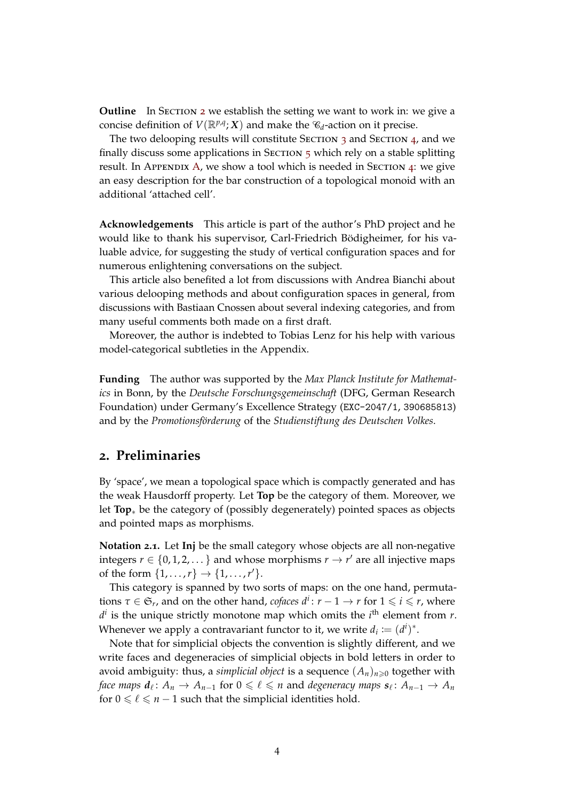**Outline** In Section [2](#page-3-0) we establish the setting we want to work in: we give a concise definition of  $V(\mathbb{R}^{p,q}; X)$  and make the  $\mathcal{C}_d$ -action on it precise.

The two delooping results will constitute SECTION [3](#page-6-1) and SECTION [4](#page-12-0), and we finally discuss some applications in SECTION  $5$  which rely on a stable splitting result. In APPENDIX [A,](#page-22-0) we show a tool which is needed in SECTION [4](#page-12-0): we give an easy description for the bar construction of a topological monoid with an additional 'attached cell'.

**Acknowledgements** This article is part of the author's PhD project and he would like to thank his supervisor, Carl-Friedrich Bödigheimer, for his valuable advice, for suggesting the study of vertical configuration spaces and for numerous enlightening conversations on the subject.

This article also benefited a lot from discussions with Andrea Bianchi about various delooping methods and about configuration spaces in general, from discussions with Bastiaan Cnossen about several indexing categories, and from many useful comments both made on a first draft.

Moreover, the author is indebted to Tobias Lenz for his help with various model-categorical subtleties in the Appendix.

**Funding** The author was supported by the *Max Planck Institute for Mathematics* in Bonn, by the *Deutsche Forschungsgemeinschaft* (DFG, German Research Foundation) under Germany's Excellence Strategy (EXC-2047/1, 390685813) and by the *Promotionsförderung* of the *Studienstiftung des Deutschen Volkes*.

# <span id="page-3-0"></span>**2. Preliminaries**

By 'space', we mean a topological space which is compactly generated and has the weak Hausdorff property. Let **Top** be the category of them. Moreover, we let **Top**∗ be the category of (possibly degenerately) pointed spaces as objects and pointed maps as morphisms.

**Notation 2.1.** Let **Inj** be the small category whose objects are all non-negative integers  $r \in \{0, 1, 2, \dots\}$  and whose morphisms  $r \to r'$  are all injective maps of the form  $\{1, ..., r\} \to \{1, ..., r'\}.$ 

This category is spanned by two sorts of maps: on the one hand, permuta- $\tau \in \mathfrak{S}_r$ , and on the other hand, *cofaces*  $d^i$ :  $r - 1 \to r$  for  $1 \leqslant i \leqslant r$ , where  $d^i$  is the unique strictly monotone map which omits the  $i^{\text{th}}$  element from *r*. Whenever we apply a contravariant functor to it, we write  $d_i := (d^i)^*$ .

Note that for simplicial objects the convention is slightly different, and we write faces and degeneracies of simplicial objects in bold letters in order to avoid ambiguity: thus, a *simplicial object* is a sequence  $(A_n)_{n\geq 0}$  together with  $f$  *de a*  $d_{\ell}$  :  $A_n \to A_{n-1}$  for  $0 \leqslant \ell \leqslant n$  and *degeneracy maps*  $s_{\ell}$  :  $A_{n-1} \to A_n$ for  $0 \le \ell \le n - 1$  such that the simplicial identities hold.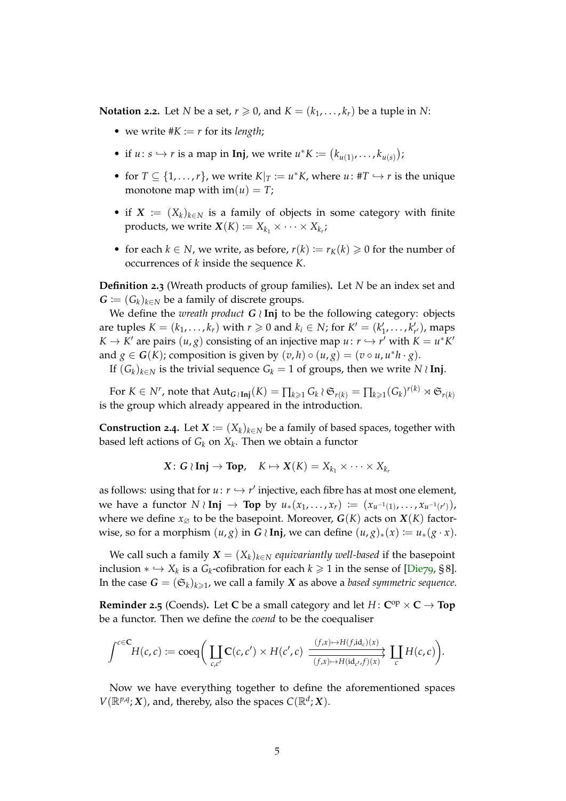<span id="page-4-1"></span><span id="page-4-0"></span>**Notation 2.2.** Let *N* be a set,  $r \ge 0$ , and  $K = (k_1, \ldots, k_r)$  be a tuple in *N*:

- we write  $#K := r$  for its *length*;
- if  $u: s \hookrightarrow r$  is a map in **Inj**, we write  $u^*K := (k_{u(1)}, \ldots, k_{u(s)})$ ;
- for  $T \subseteq \{1, \ldots, r\}$ , we write  $K|_T := u^*K$ , where  $u: #T \hookrightarrow r$  is the unique monotone map with  $\text{im}(u) = T$ ;
- if  $X := (X_k)_{k \in \mathbb{N}}$  is a family of objects in some category with finite products, we write  $\mathbf{X}(K) := X_{k_1} \times \cdots \times X_{k_r}$ ;
- for each *k*  $\in$  *N*, we write, as before, *r*(*k*) := *r*<sub>*K*</sub>(*k*)  $\ge$  0 for the number of occurrences of *k* inside the sequence *K*.

**Definition 2.3** (Wreath products of group families)**.** Let *N* be an index set and  $G := (G_k)_{k \in \mathbb{N}}$  be a family of discrete groups.

We define the *wreath product*  $G \setminus \text{Inj}$  to be the following category: objects are tuples  $K = (k_1, \ldots, k_r)$  with  $r \ge 0$  and  $k_i \in N$ ; for  $K' = (k'_1, \ldots, k'_{r'})$ , maps *K* → *K'* are pairs  $(u, g)$  consisting of an injective map  $u: r \hookrightarrow r'$  with  $K = u^*K'$ and  $g \in G(K)$ ; composition is given by  $(v, h) \circ (u, g) = (v \circ u, u^*h \cdot g)$ .

If  $(G_k)_{k \in N}$  is the trivial sequence  $G_k = 1$  of groups, then we write *N* ≀ Inj.

 $\text{For } K \in N^r$ , note that  $\text{Aut}_{\bm{G} \setminus \text{Inj}}(K) = \prod_{k \geqslant 1} G_k \wr \mathfrak{S}_{r(k)} = \prod_{k \geqslant 1} (G_k)^{r(k)} \rtimes \mathfrak{S}_{r(k)}$ is the group which already appeared in the introduction.

**Construction 2.4.** Let  $X := (X_k)_{k \in \mathbb{N}}$  be a family of based spaces, together with based left actions of *G<sup>k</sup>* on *X<sup>k</sup>* . Then we obtain a functor

$$
X\colon G\wr\mathbf{Inj}\to\mathbf{Top},\quad K\mapsto X(K)=X_{k_1}\times\cdots\times X_{k_r}
$$

as follows: using that for  $u: r \hookrightarrow r'$  injective, each fibre has at most one element, we have a functor  $N \wr \textbf{Inj} \to \textbf{Top}$  by  $u_*(x_1, \ldots, x_r) := (x_{u^{-1}(1)}, \ldots, x_{u^{-1}(r')})$ , where we define  $x_{\emptyset}$  to be the basepoint. Moreover,  $G(K)$  acts on  $X(K)$  factorwise, so for a morphism  $(u, g)$  in  $G \setminus Inj$ , we can define  $(u, g)_*(x) := u_*(g \cdot x)$ .

We call such a family  $X = (X_k)_{k \in N}$  *equivariantly well-based* if the basepoint inclusion  $* \hookrightarrow X_k$  is a *G*<sub>*k*</sub>-cofibration for each  $k \geq 1$  in the sense of [\[Die](#page-27-11)79, § 8]. In the case  $\boldsymbol{G} = (\mathfrak{S}_k)_{k \geqslant 1}$ , we call a family  $\boldsymbol{X}$  as above a *based symmetric sequence*.

**Reminder 2.5** (Coends). Let **C** be a small category and let  $H: \mathbb{C}^{op} \times \mathbb{C} \to \mathbb{T}$ op be a functor. Then we define the *coend* to be the coequaliser

$$
\int^{c \in \mathbf{C}} H(c,c) := \mathrm{coeq}\bigg(\coprod_{c,c'} \mathbf{C}(c,c') \times H(c',c) \xrightarrow[(f,x) \mapsto H(\mathrm{fid}_c)(x) \to \atop (f,x) \mapsto H(\mathrm{id}_{c'},f)(x)} \coprod_c H(c,c)\bigg).
$$

Now we have everything together to define the aforementioned spaces  $V(\mathbb{R}^{p,q}; X)$ , and, thereby, also the spaces  $C(\mathbb{R}^{d}; X)$ .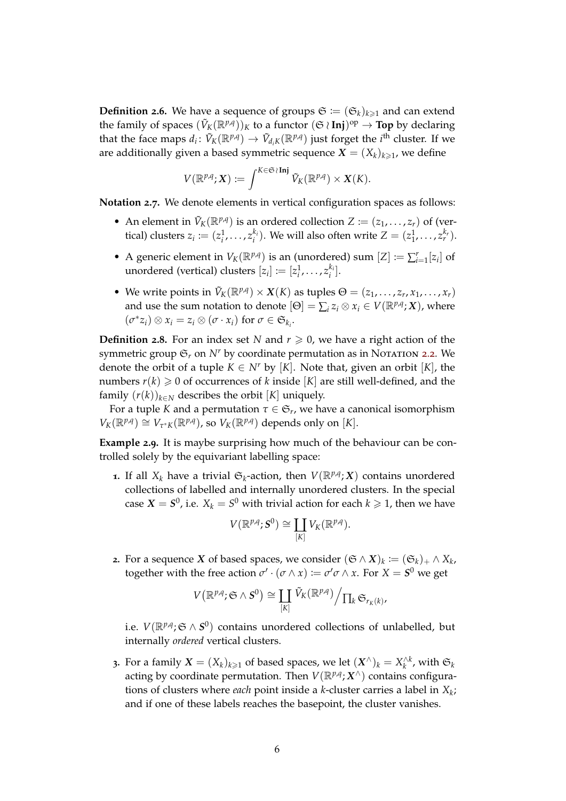<span id="page-5-0"></span>**Definition 2.6.** We have a sequence of groups  $\mathfrak{S} := (\mathfrak{S}_k)_{k \geq 1}$  and can extend the family of spaces  $(\tilde{V}_K(\mathbb{R}^{p,q}))_K$  to a functor  $(\mathfrak{S} \wr Inj)^{\mathrm{op}} \to \textbf{Top}$  by declaring that the face maps  $d_i \colon \tilde{V}_K(\mathbb{R}^{p,q}) \to \tilde{V}_{d_iK}(\mathbb{R}^{p,q})$  just forget the *i*<sup>th</sup> cluster. If we are additionally given a based symmetric sequence  $\boldsymbol{X} = (X_k)_{k \geqslant 1}$ , we define

$$
V(\mathbb{R}^{p,q};\mathbf{X})\coloneqq \int^{K\in\mathfrak{S}\wr\mathbf{Inj}}\tilde{V}_K(\mathbb{R}^{p,q})\times\mathbf{X}(K).
$$

**Notation 2.7.** We denote elements in vertical configuration spaces as follows:

- An element in  $\tilde{V}_K(\mathbb{R}^{p,q})$  is an ordered collection  $Z := (z_1, \ldots, z_r)$  of (vertical) clusters  $z_i := (z_i^1, \ldots, z_i^k)$  $i^{(k_i)}$ . We will also often write  $Z = (z_1^1, \ldots, z_r^{k_r})$ .
- A generic element in  $V_K(\mathbb{R}^{p,q})$  is an (unordered) sum  $[Z] := \sum_{i=1}^r [z_i]$  of unordered (vertical) clusters  $[z_i] := [z_i^1, \ldots, z_i^k]$  $\binom{k_i}{i}$ .
- We write points in  $\tilde{V}_K(\mathbb{R}^{p,q}) \times X(K)$  as tuples  $\Theta = (z_1, \ldots, z_r, x_1, \ldots, x_r)$ and use the sum notation to denote  $[\Theta] = \sum_i z_i \otimes x_i \in V(\mathbb{R}^{p,q}; X)$ , where  $(\sigma^* z_i) \otimes x_i = z_i \otimes (\sigma \cdot x_i)$  for  $\sigma \in \mathfrak{S}_{k_i}$ .

**Definition 2.8.** For an index set *N* and  $r \ge 0$ , we have a right action of the symmetric group  $\mathfrak{S}_r$  on  $N^r$  by coordinate permutation as in Notation [2](#page-4-0).2. We denote the orbit of a tuple  $K \in N^r$  by [K]. Note that, given an orbit [K], the numbers  $r(k) \geq 0$  of occurrences of *k* inside [*K*] are still well-defined, and the family  $(r(k))_{k \in N}$  describes the orbit [*K*] uniquely.

For a tuple *K* and a permutation  $\tau \in \mathfrak{S}_r$ , we have a canonical isomorphism  $V_K(\mathbb{R}^{p,q}) \cong V_{\tau^*K}(\mathbb{R}^{p,q})$ , so  $V_K(\mathbb{R}^{p,q})$  depends only on [*K*].

<span id="page-5-1"></span>**Example 2.9.** It is maybe surprising how much of the behaviour can be controlled solely by the equivariant labelling space:

**1.** If all  $X_k$  have a trivial  $\mathfrak{S}_k$ -action, then  $V(\mathbb{R}^{p,q}; X)$  contains unordered collections of labelled and internally unordered clusters. In the special case  $X = S^0$ , i.e.  $X_k = S^0$  with trivial action for each  $k \geqslant 1$ , then we have

$$
V(\mathbb{R}^{p,q};S^0)\cong \coprod_{[K]}V_K(\mathbb{R}^{p,q}).
$$

**2.** For a sequence *X* of based spaces, we consider  $(\mathfrak{S} \wedge X)_k := (\mathfrak{S}_k)_+ \wedge X_k$ , together with the free action  $\sigma' \cdot (\sigma \wedge x) := \sigma' \sigma \wedge x$ . For  $X = S^0$  we get

$$
V(\mathbb{R}^{p,q};\mathfrak{S}\wedge S^0)\cong \coprod_{[K]}\widetilde{V}_K(\mathbb{R}^{p,q})\Big/\prod_k\mathfrak{S}_{r_K(k)},
$$

i.e.  $V(\mathbb{R}^{p,q}; \mathfrak{S} \wedge S^0)$  contains unordered collections of unlabelled, but internally *ordered* vertical clusters.

**3**. For a family  $X = (X_k)_{k \geq 1}$  of based spaces, we let  $(X^\wedge)_k = X_k^{\wedge k}$ , with  $\mathfrak{S}_k$ acting by coordinate permutation. Then  $V(\mathbb{R}^{p,q}; X^\wedge)$  contains configurations of clusters where *each* point inside a *k*-cluster carries a label in *X<sup>k</sup>* ; and if one of these labels reaches the basepoint, the cluster vanishes.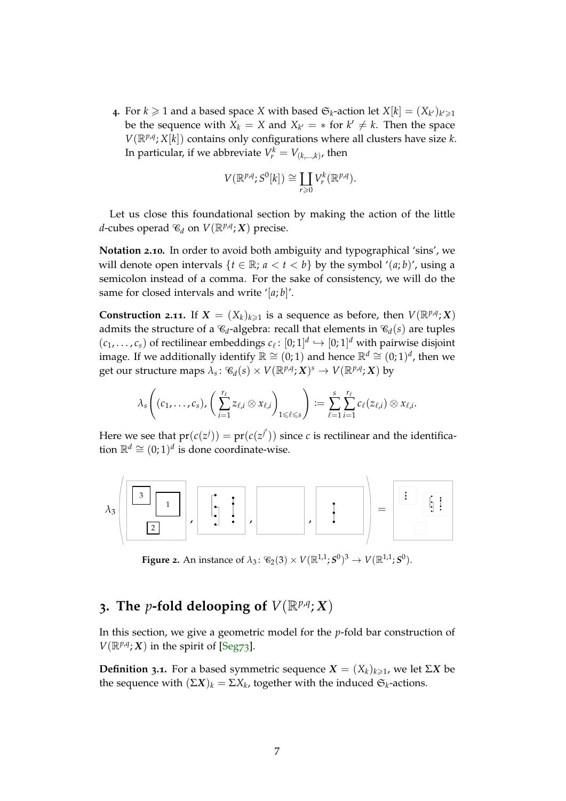<span id="page-6-2"></span>**4** For  $k \ge 1$  and a based space *X* with based  $\mathfrak{S}_k$ -action let  $X[k] = (X_{k'})_{k' \ge 1}$ be the sequence with  $X_k = X$  and  $X_{k'} = *$  for  $k' \neq k$ . Then the space  $V(\mathbb{R}^{p,q}; X[k])$  contains only configurations where all clusters have size *k*. In particular, if we abbreviate  $V_r^k = V_{(k,\ldots,k)}$ , then

$$
V(\mathbb{R}^{p,q};S^0[k]) \cong \coprod_{r \geq 0} V_r^k(\mathbb{R}^{p,q}).
$$

Let us close this foundational section by making the action of the little *d*-cubes operad  $\mathscr{C}_d$  on  $V(\mathbb{R}^{p,q}; X)$  precise.

**Notation 2.10.** In order to avoid both ambiguity and typographical 'sins', we will denote open intervals  $\{t \in \mathbb{R}; a < t < b\}$  by the symbol ' $(a, b)$ ', using a semicolon instead of a comma. For the sake of consistency, we will do the same for closed intervals and write '[*a*; *b*]'.

<span id="page-6-0"></span>**Construction 2.11.** If  $X = (X_k)_{k \geq 1}$  is a sequence as before, then  $V(\mathbb{R}^{p,q}; X)$ admits the structure of a  $\mathcal{C}_d$ -algebra: recall that elements in  $\mathcal{C}_d(s)$  are tuples  $(c_1, \ldots, c_s)$  of rectilinear embeddings  $c_\ell \colon [0; 1]^d \hookrightarrow [0; 1]^d$  with pairwise disjoint image. If we additionally identify  $\mathbb{R} \cong (0,1)$  and hence  $\mathbb{R}^d \cong (0,1)^d$ , then we  $\mathrm{get\,\,our\,\, structure\,\,maps\,\,}\lambda_{s}\colon \mathscr{C}_{d}(s)\times V(\mathbb{R}^{p,q};X)^{s}\to V(\mathbb{R}^{p,q};X)$  by

$$
\lambda_s\bigg((c_1,\ldots,c_s),\bigg(\sum_{i=1}^{r_\ell}z_{\ell,i}\otimes x_{\ell,i}\bigg)_{1\leqslant \ell\leqslant s}\bigg):=\sum_{\ell=1}^s\sum_{i=1}^{r_\ell}c_\ell(z_{\ell,i})\otimes x_{\ell,i}.
$$

Here we see that  $pr(c(z^{j})) = pr(c(z^{j'}))$  since *c* is rectilinear and the identification  $\mathbb{R}^d$  ≅  $(0,1)^d$  is done coordinate-wise.



**Figure 2.** An instance of  $\lambda_3$ :  $\mathcal{C}_2(3) \times V(\mathbb{R}^{1,1}; S^0)^3 \to V(\mathbb{R}^{1,1}; S^0)$ .

# <span id="page-6-1"></span>**3.** The p-fold delooping of  $V(\mathbb{R}^{p,q}; X)$

In this section, we give a geometric model for the *p*-fold bar construction of  $V(\mathbb{R}^{p,q}; X)$  in the spirit of [\[Seg](#page-27-1)73].

**Definition 3.1.** For a based symmetric sequence  $X = (X_k)_{k \geq 1}$ , we let  $\Sigma X$  be the sequence with  $(\Sigma X)_k = \Sigma X_k$ , together with the induced  $\mathfrak{S}_k$ -actions.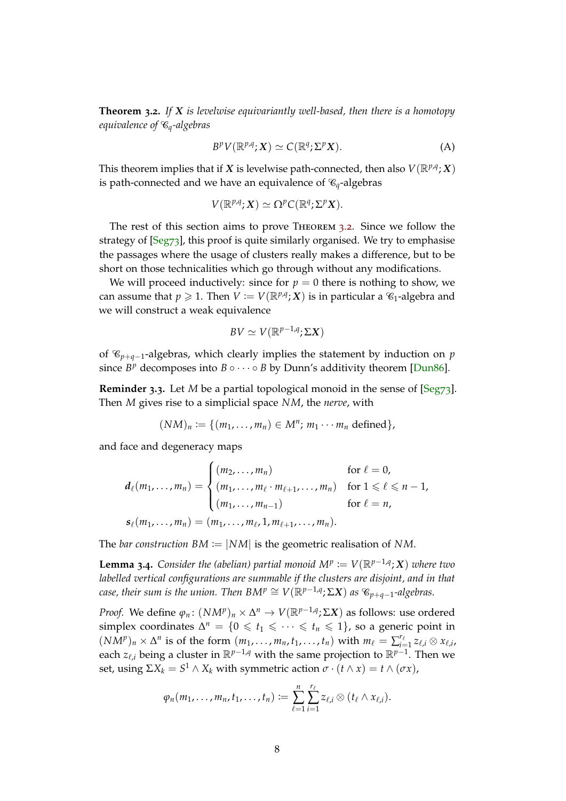<span id="page-7-1"></span><span id="page-7-0"></span>**Theorem 3.2.** *If X is levelwise equivariantly well-based, then there is a homotopy equivalence of* C*q-algebras*

$$
B^p V(\mathbb{R}^{p,q}; X) \simeq C(\mathbb{R}^q; \Sigma^p X). \tag{A}
$$

This theorem implies that if *X* is levelwise path-connected, then also  $V(\mathbb{R}^{p,q}; X)$ is path-connected and we have an equivalence of  $\mathcal{C}_q$ -algebras

$$
V(\mathbb{R}^{p,q};X)\simeq \Omega^pC(\mathbb{R}^q;\Sigma^pX).
$$

The rest of this section aims to prove Theorem [3](#page-7-0).2. Since we follow the strategy of [\[Seg](#page-27-1)73], this proof is quite similarly organised. We try to emphasise the passages where the usage of clusters really makes a difference, but to be short on those technicalities which go through without any modifications.

We will proceed inductively: since for  $p = 0$  there is nothing to show, we can assume that  $p \geqslant 1$ . Then  $V \coloneqq V(\mathbb{R}^{p,q};X)$  is in particular a  $\mathcal{C}_1$ -algebra and we will construct a weak equivalence

$$
BV \simeq V(\mathbb{R}^{p-1,q}; \Sigma X)
$$

of C*p*+*q*−1-algebras, which clearly implies the statement by induction on *p* since  $B^p$  decomposes into  $B \circ \cdots \circ B$  by Dunn's additivity theorem [\[Dun](#page-27-12)86].

**Reminder 3.3.** Let *M* be a partial topological monoid in the sense of [\[Seg](#page-27-1)73]. Then *M* gives rise to a simplicial space *NM*, the *nerve*, with

$$
(NM)_n \coloneqq \{ (m_1, \ldots, m_n) \in M^n; m_1 \cdots m_n \text{ defined } \},
$$

and face and degeneracy maps

$$
d_{\ell}(m_1,...,m_n) = \begin{cases} (m_2,...,m_n) & \text{for } \ell = 0, \\ (m_1,...,m_{\ell} \cdot m_{\ell+1},...,m_n) & \text{for } 1 \leq \ell \leq n-1, \\ (m_1,...,m_{n-1}) & \text{for } \ell = n, \end{cases}
$$
  

$$
s_{\ell}(m_1,...,m_n) = (m_1,...,m_{\ell},1,m_{\ell+1},...,m_n).
$$

The *bar construction*  $BM := |NM|$  is the geometric realisation of NM.

**Lemma 3.4.** Consider the (abelian) partial monoid  $M^p := V(\mathbb{R}^{p-1,q}; X)$  where two *labelled vertical configurations are summable if the clusters are disjoint, and in that*  $\mathcal{C}$ *case, their sum is the union. Then BM<sup>p</sup>*  $\cong V(\mathbb{R}^{p-1,q}; \Sigma X)$  *as*  $\mathscr{C}_{p+q-1}$ -algebras.

*Proof.* We define  $\varphi_n \colon (NM^p)_n \times \Delta^n \to V(\mathbb{R}^{p-1,q}; \Sigma X)$  as follows: use ordered simplex coordinates  $\Delta^n = \{0 \leq t_1 \leq \cdots \leq t_n \leq 1\}$ , so a generic point in  $(NM^p)_n \times \Delta^n$  is of the form  $(m_1, \ldots, m_n, t_1, \ldots, t_n)$  with  $m_\ell = \sum_{i=1}^{r_\ell}$  $\prod_{i=1}^{r_\ell} z_{\ell,i} \otimes x_{\ell,i}$  , each *z<sub>ℓ,i</sub>* being a cluster in  $\mathbb{R}^{p-1,q}$  with the same projection to  $\mathbb{R}^{p-1}$ . Then we set, using  $\Sigma X_k = S^1 \wedge X_k$  with symmetric action  $\sigma \cdot (t \wedge x) = t \wedge (\sigma x)$ ,

$$
\varphi_n(m_1,\ldots,m_n,t_1,\ldots,t_n):=\sum_{\ell=1}^n\sum_{i=1}^{r_\ell}z_{\ell,i}\otimes (t_\ell\wedge x_{\ell,i}).
$$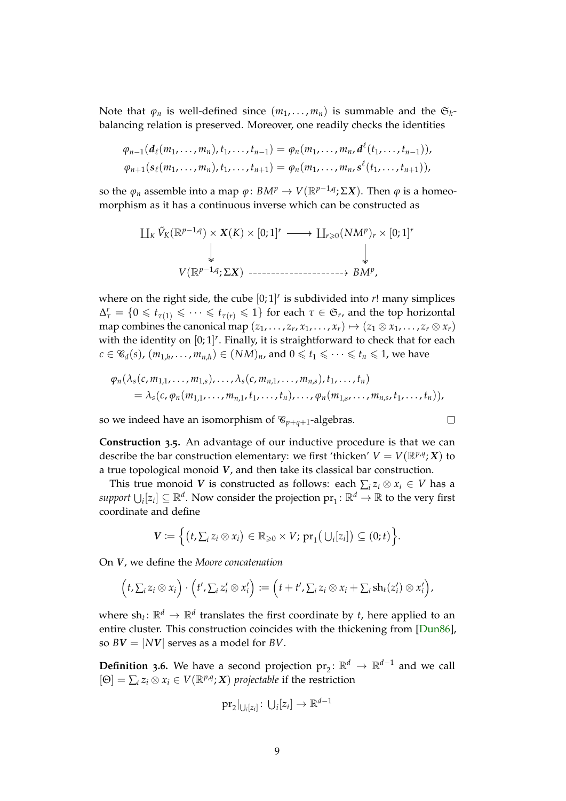<span id="page-8-1"></span>Note that  $\varphi_n$  is well-defined since  $(m_1, \ldots, m_n)$  is summable and the  $\mathfrak{S}_k$ balancing relation is preserved. Moreover, one readily checks the identities

$$
\varphi_{n-1}(d_{\ell}(m_1,\ldots,m_n),t_1,\ldots,t_{n-1})=\varphi_n(m_1,\ldots,m_n,d^{\ell}(t_1,\ldots,t_{n-1})),
$$
  

$$
\varphi_{n+1}(s_{\ell}(m_1,\ldots,m_n),t_1,\ldots,t_{n+1})=\varphi_n(m_1,\ldots,m_n,s^{\ell}(t_1,\ldots,t_{n+1})),
$$

so the  $\varphi_n$  assemble into a map  $\varphi \colon BM^p \to V(\mathbb{R}^{p-1,q}; \Sigma X)$ . Then  $\varphi$  is a homeomorphism as it has a continuous inverse which can be constructed as

$$
\coprod_{K} \tilde{V}_{K}(\mathbb{R}^{p-1,q}) \times \mathbf{X}(K) \times [0;1]^{r} \longrightarrow \coprod_{r \geq 0} (NM^{p})_{r} \times [0;1]^{r}
$$
\n
$$
\downarrow \qquad \qquad \downarrow
$$
\n
$$
V(\mathbb{R}^{p-1,q}; \Sigma X) \longrightarrow \text{BMO}_{r}
$$

where on the right side, the cube  $[0;1]^r$  is subdivided into  $r!$  many simplices  $\Delta_{\tau}^{r} = \{0 \leq t_{\tau(1)} \leq \cdots \leq t_{\tau(r)} \leq 1\}$  for each  $\tau \in \mathfrak{S}_{r}$ , and the top horizontal map combines the canonical map  $(z_1, \ldots, z_r, x_1, \ldots, x_r) \mapsto (z_1 \otimes x_1, \ldots, z_r \otimes x_r)$ with the identity on  $[0;1]^r$ . Finally, it is straightforward to check that for each  $c \in \mathcal{C}_d(s)$ ,  $(m_{1,h}, \ldots, m_{n,h}) \in (NM)_n$ , and  $0 \leq t_1 \leq \cdots \leq t_n \leq 1$ , we have

$$
\varphi_n(\lambda_s(c, m_{1,1}, \ldots, m_{1,s}), \ldots, \lambda_s(c, m_{n,1}, \ldots, m_{n,s}), t_1, \ldots, t_n) \\
= \lambda_s(c, \varphi_n(m_{1,1}, \ldots, m_{n,1}, t_1, \ldots, t_n), \ldots, \varphi_n(m_{1,s}, \ldots, m_{n,s}, t_1, \ldots, t_n)),
$$

 $\Box$ 

so we indeed have an isomorphism of  $\mathcal{C}_{p+q+1}$ -algebras.

<span id="page-8-0"></span>**Construction 3.5.** An advantage of our inductive procedure is that we can describe the bar construction elementary: we first 'thicken'  $V = V(\mathbb{R}^{p,q}; X)$  to a true topological monoid *V*, and then take its classical bar construction.

This true monoid *V* is constructed as follows: each  $\sum_i z_i \otimes x_i \in V$  has a  $support\cup_i[z_i]\subseteq\mathbb{R}^d.$  Now consider the projection  $\mathrm{pr}_1\colon\mathbb{R}^d\to\mathbb{R}$  to the very first coordinate and define

$$
\mathbf{V} \coloneqq \Big\{ \big(t, \sum_i z_i \otimes x_i \big) \in \mathbb{R}_{\geqslant 0} \times V; \, \text{pr}_1 \big( \bigcup_i [z_i] \big) \subseteq (0;t) \Big\}.
$$

On *V*, we define the *Moore concatenation*

$$
(t,\sum_i z_i\otimes x_i)\cdot (t',\sum_i z_i'\otimes x_i') := (t+t',\sum_i z_i\otimes x_i+\sum_i \operatorname{sh}_t(z_i')\otimes x_i').
$$

where  $\sh_t \colon \mathbb{R}^d \to \mathbb{R}^d$  translates the first coordinate by *t*, here applied to an entire cluster. This construction coincides with the thickening from [\[Dun](#page-27-12)86], so  $BV = |NV|$  serves as a model for *BV*.

**Definition 3.6.** We have a second projection  $\text{pr}_2 \colon \mathbb{R}^d \to \mathbb{R}^{d-1}$  and we call  $[\Theta] = \sum_i z_i \otimes x_i \in V(\mathbb{R}^{p,q}; X)$  *projectable* if the restriction

$$
\text{pr}_2|_{\bigcup_i [z_i]} \colon \bigcup_i [z_i] \to \mathbb{R}^{d-1}
$$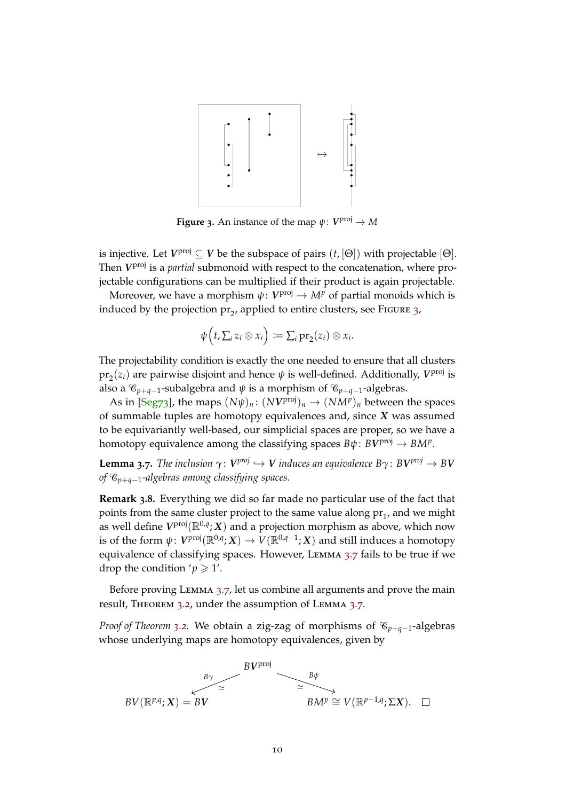<span id="page-9-2"></span><span id="page-9-0"></span>

**Figure 3.** An instance of the map  $\psi\colon V^{\text{proj}} \to M$ 

is injective. Let  $V^{\text{proj}} \subseteq V$  be the subspace of pairs  $(t, [\Theta])$  with projectable  $[\Theta]$ . Then *V*<sup>proj</sup> is a *partial* submonoid with respect to the concatenation, where projectable configurations can be multiplied if their product is again projectable.

Moreover, we have a morphism  $\psi \colon V^{\operatorname{proj}} \to M^p$  of partial monoids which is induced by the projection  $pr_2$ , applied to entire clusters, see FIGURE [3](#page-9-0),

$$
\psi\Bigl(t,\textstyle\sum_i z_i\otimes x_i\Bigr)\coloneqq\textstyle\sum_i {\rm pr}_2(z_i)\otimes x_i.
$$

The projectability condition is exactly the one needed to ensure that all clusters  $\mathrm{pr}_2(z_i)$  are pairwise disjoint and hence  $\psi$  is well-defined. Additionally,  $V^{\mathrm{proj}}$  is also a  $\mathcal{C}_{p+q-1}$ -subalgebra and  $\psi$  is a morphism of  $\mathcal{C}_{p+q-1}$ -algebras.

As in  $[Seg73]$  $[Seg73]$ , the maps  $(N\psi)_n$ :  $(NV^{\text{proj}})_n \to (NM^p)_n$  between the spaces of summable tuples are homotopy equivalences and, since *X* was assumed to be equivariantly well-based, our simplicial spaces are proper, so we have a homotopy equivalence among the classifying spaces  $B\psi\colon BV^{\text{proj}}\to BM^p.$ 

<span id="page-9-1"></span>**Lemma 3.7.** The inclusion  $\gamma: V^{proj} \hookrightarrow V$  induces an equivalence  $B\gamma: BV^{proj} \rightarrow BV$ *of* C*p*+*q*−1*-algebras among classifying spaces.*

**Remark 3.8.** Everything we did so far made no particular use of the fact that points from the same cluster project to the same value along  $\mathrm{pr}_1$ , and we might as well define  $V^{\text{proj}}(\mathbb{R}^{0,q}; X)$  and a projection morphism as above, which now is of the form  $\psi\colon V^{\rm proj}({\mathbb R}^{0,q};X) \to V({\mathbb R}^{0,q-1};X)$  and still induces a homotopy equivalence of classifying spaces. However, Lemma [3](#page-9-1).7 fails to be true if we drop the condition ' $p \geq 1'$ .

Before proving LEMMA [3](#page-9-1).7, let us combine all arguments and prove the main result, Theorem [3](#page-7-0).2, under the assumption of Lemma [3](#page-9-1).7.

*Proof of Theorem* [3](#page-7-0).2. We obtain a zig-zag of morphisms of  $\mathcal{C}_{p+q-1}$ -algebras whose underlying maps are homotopy equivalences, given by

$$
BV(\mathbb{R}^{p,q}; X) = BV \overset{BV^{\text{proj}}} \simeq \overset{BV^{\text{proj}}} \simeq \overset{B\psi}{\longrightarrow} \overset{B\psi}{\longrightarrow} \qquad \qquad BM^p \cong V(\mathbb{R}^{p-1,q}; \Sigma X). \square
$$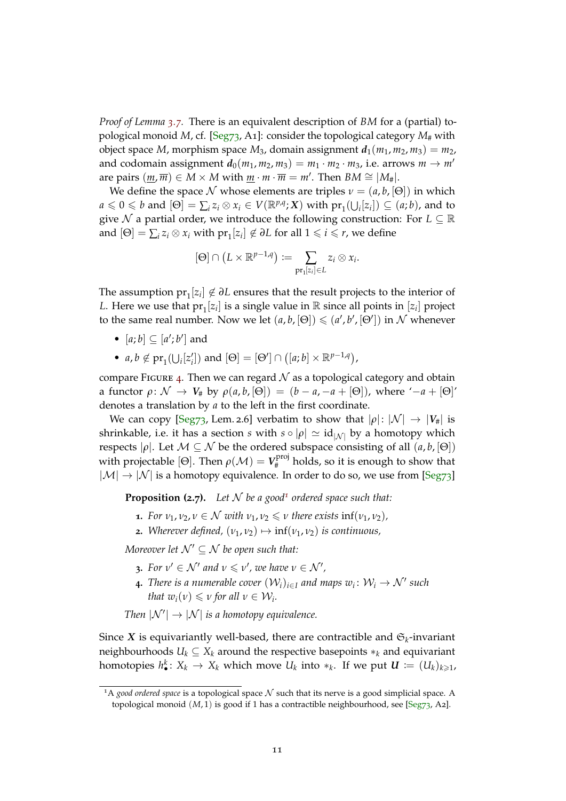*Proof of Lemma [3](#page-9-1).7.* There is an equivalent description of *BM* for a (partial) topological monoid *M*, cf. [\[Seg](#page-27-1)73, A1]: consider the topological category  $M_{\#}$  with object space *M*, morphism space *M*<sub>3</sub>, domain assignment  $d_1(m_1, m_2, m_3) = m_2$ , and codomain assignment  $d_0(m_1, m_2, m_3) = m_1 \cdot m_2 \cdot m_3$ , i.e. arrows  $m \rightarrow m'$ are pairs  $(\underline{m}, \overline{m}) \in M \times M$  with  $\underline{m} \cdot \overline{m} = m'$ . Then  $BM \cong |M_{\#}|$ .

We define the space N whose elements are triples  $v = (a, b, [\Theta])$  in which  $a \leq 0 \leq b$  and  $[\Theta] = \sum_i z_i \otimes x_i \in V(\mathbb{R}^{p,q}; X)$  with  $\text{pr}_1(\bigcup_i [z_i]) \subseteq (a, b)$ , and to give N a partial order, we introduce the following construction: For  $L \subseteq \mathbb{R}$ and  $[\Theta] = \sum_i z_i \otimes x_i$  with  $\text{pr}_1[z_i] \notin \partial L$  for all  $1 \leq i \leq r$ , we define

$$
[\Theta] \cap (L \times \mathbb{R}^{p-1,q}) := \sum_{\mathrm{pr}_1[z_i] \in L} z_i \otimes x_i.
$$

The assumption  $pr_1[z_i] \notin \partial L$  ensures that the result projects to the interior of *L*. Here we use that  $pr_1[z_i]$  is a single value in  $\mathbb R$  since all points in  $[z_i]$  project to the same real number. Now we let  $(a, b, [\Theta]) \leq (a', b', [\Theta'])$  in N whenever

- $[a; b] \subseteq [a'; b']$  and
- *a*, *b*  $\notin$   $\text{pr}_1(\bigcup_i [z'_i])$  and  $[\Theta] = [\Theta'] \cap ([a; b] \times \mathbb{R}^{p-1,q})$ ,

compare FIGURE [4](#page-11-0). Then we can regard  $N$  as a topological category and obtain a functor  $\rho: \mathcal{N} \to V_{\#}$  by  $\rho(a, b, [\Theta]) = (b - a, -a + [\Theta])$ , where ' $-a + [\Theta]'$ denotes a translation by *a* to the left in the first coordinate.

We can copy [\[Seg](#page-27-1)73, Lem. 2.6] verbatim to show that  $|\rho|: |N| \to |V_{\#}|$  is shrinkable, i.e. it has a section *s* with  $s \circ |\rho| \simeq id_{|N|}$  by a homotopy which respects  $|\rho|$ . Let  $M \subseteq N$  be the ordered subspace consisting of all  $(a, b, [\Theta])$ with projectable [ $\Theta$ ]. Then  $\rho(\mathcal{M}) = V_{\#}^{\text{proj}}$  $_{\rm H}^{\rm prop}$  holds, so it is enough to show that  $|\mathcal{M}| \rightarrow |\mathcal{N}|$  is a homotopy equivalence. In order to do so, we use from [\[Seg](#page-27-1)73]

**Proposition (2.7).** Let  $N$  be a good<sup>[1](#page-10-0)</sup> ordered space such that:

- **1.** *For*  $v_1, v_2, v \in \mathcal{N}$  *with*  $v_1, v_2 \leq v$  *there exists* inf( $v_1, v_2$ )*,*
- **2.** *Wherever defined,*  $(v_1, v_2) \mapsto \inf(v_1, v_2)$  *is continuous,*

*Moreover let*  $\mathcal{N}' \subseteq \mathcal{N}$  *be open such that:* 

- **3.** For  $v' \in \mathcal{N}'$  and  $v \leq v'$ , we have  $v \in \mathcal{N}'$ ,
- **4.** There is a numerable cover  $(\mathcal{W}_i)_{i \in I}$  and maps  $w_i \colon \mathcal{W}_i \to \mathcal{N}'$  such *that*  $w_i(v) \le v$  *for all*  $v \in W_i$ *.*

*Then*  $|N'| \rightarrow |N|$  *is a homotopy equivalence.* 

Since *X* is equivariantly well-based, there are contractible and  $\mathfrak{S}_k$ -invariant neighbourhoods  $U_k \subseteq X_k$  around the respective basepoints  $*_k$  and equivariant homotopies  $h_\bullet^k\colon X_k\to X_k$  which move  $U_k$  into  $*_k$ . If we put  $\boldsymbol{U}\coloneqq (U_k)_{k\geqslant 1}$ ,

<span id="page-10-0"></span><sup>&</sup>lt;sup>1</sup>A *good ordered space* is a topological space  $N$  such that its nerve is a good simplicial space. A topological monoid  $(M, 1)$  is good if 1 has a contractible neighbourhood, see [\[Seg](#page-27-1)73, A2].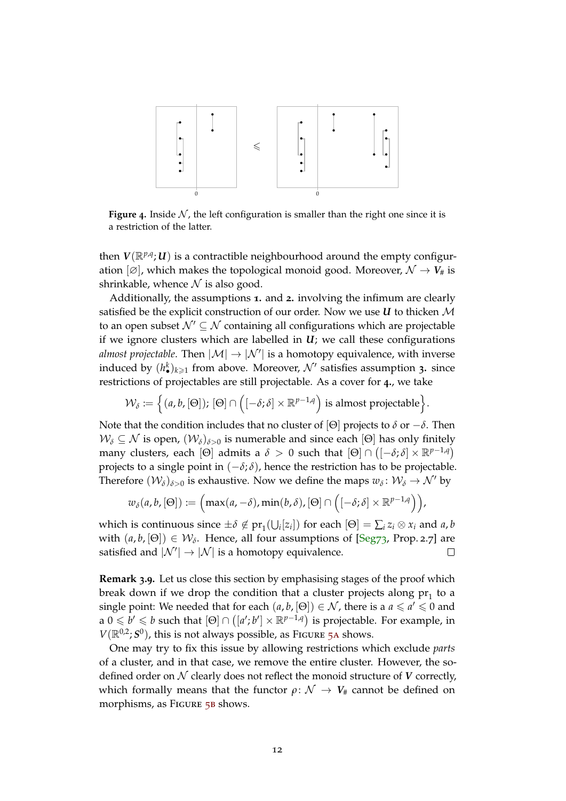<span id="page-11-1"></span><span id="page-11-0"></span>

**Figure** 4. Inside  $N$ , the left configuration is smaller than the right one since it is a restriction of the latter.

then  $V(\mathbb{R}^{p,q};\mathcal{U})$  is a contractible neighbourhood around the empty configuration  $[\emptyset]$ , which makes the topological monoid good. Moreover,  $\mathcal{N} \to V_{\#}$  is shrinkable, whence  $N$  is also good.

Additionally, the assumptions **1.** and **2.** involving the infimum are clearly satisfied be the explicit construction of our order. Now we use  $U$  to thicken  $M$ to an open subset  $\mathcal{N}' \subseteq \mathcal{N}$  containing all configurations which are projectable if we ignore clusters which are labelled in  $U_i$ ; we call these configurations *almost projectable*. Then  $|\mathcal{M}| \to |\mathcal{N}'|$  is a homotopy equivalence, with inverse induced by  $(h^k_{\bullet})_{k\geqslant 1}$  from above. Moreover,  $\mathcal{N}'$  satisfies assumption 3. since restrictions of projectables are still projectable. As a cover for **4.**, we take

$$
\mathcal{W}_{\delta} := \Big\{ (a, b, [\Theta]), [\Theta] \cap \Big( [-\delta; \delta] \times \mathbb{R}^{p-1,q} \Big) \text{ is almost projectable} \Big\}.
$$

Note that the condition includes that no cluster of [Θ] projects to *δ* or −*δ*. Then  $W_{\delta} \subseteq \mathcal{N}$  is open,  $(W_{\delta})_{\delta>0}$  is numerable and since each [Θ] has only finitely many clusters, each  $[\Theta]$  admits a  $\delta > 0$  such that  $[\Theta] \cap \left( [-\delta; \delta] \times \mathbb{R}^{p-1, q} \right)$ projects to a single point in  $(-\delta; \delta)$ , hence the restriction has to be projectable. Therefore  $(\mathcal{W}_{\delta})_{\delta>0}$  is exhaustive. Now we define the maps  $w_{\delta} \colon \mathcal{W}_{\delta} \to \mathcal{N}'$  by

$$
w_{\delta}(a,b,[\Theta]) \coloneqq \Big(\max(a,-\delta),\min(b,\delta), [\Theta] \cap \Big([-\delta;\delta] \times \mathbb{R}^{p-1,q}\Big)\Big),\,
$$

which is continuous since  $\pm \delta \notin pr_1(\bigcup_i [z_i])$  for each  $[\Theta] = \sum_i z_i \otimes x_i$  and  $a, b$ with  $(a, b, [\Theta]) \in W_\delta$ . Hence, all four assumptions of  $[Seg73, Prop. 2.7]$  $[Seg73, Prop. 2.7]$  are satisfied and  $|{\cal N}'|\to |{\cal N}|$  is a homotopy equivalence.  $\Box$ 

**Remark 3.9.** Let us close this section by emphasising stages of the proof which break down if we drop the condition that a cluster projects along  $\mathrm{pr}_1$  to a single point: We needed that for each  $(a, b, [\Theta]) \in \mathcal{N}$ , there is a  $a \le a' \le 0$  and  $\alpha$  0  $\leqslant$  *b'*  $\leqslant$  *b* such that  $[\Theta] \cap ([a';b'] \times \mathbb{R}^{p-1,q})$  is projectable. For example, in  $V(\mathbb{R}^{0,2}; S^0)$ , this is not always possible, as FIGURE 5A shows.

One may try to fix this issue by allowing restrictions which exclude *parts* of a cluster, and in that case, we remove the entire cluster. However, the sodefined order on N clearly does not reflect the monoid structure of *V* correctly, which formally means that the functor  $\rho \colon \mathcal{N} \to V_{\#}$  cannot be defined on morphisms, as FIGURE 5B shows.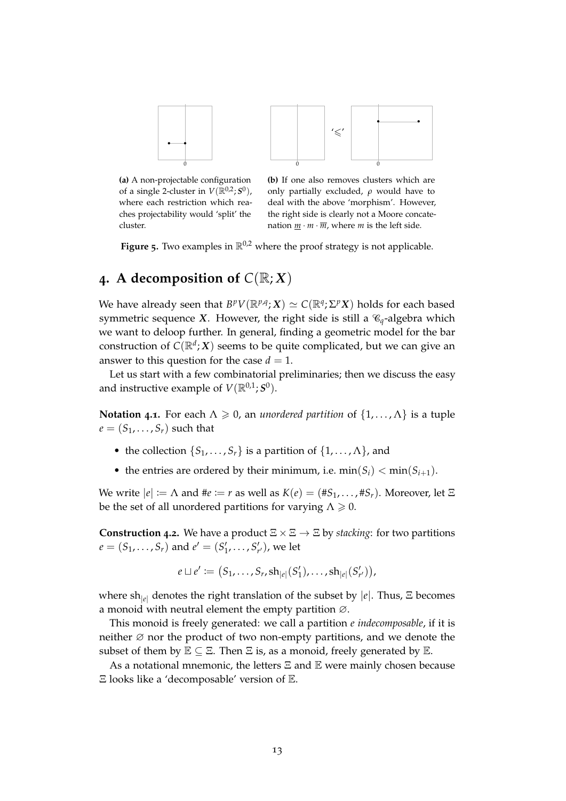<span id="page-12-1"></span>

**(a)** A non-projectable configuration of a single 2-cluster in  $V(\mathbb{R}^{0,2}; S^0)$ , where each restriction which reaches projectability would 'split' the cluster.

**(b)** If one also removes clusters which are only partially excluded, *ρ* would have to deal with the above 'morphism'. However, the right side is clearly not a Moore concatenation  $m \cdot m \cdot \overline{m}$ , where *m* is the left side.

**Figure 5.** Two examples in  $\mathbb{R}^{0,2}$  where the proof strategy is not applicable.

# <span id="page-12-0"></span>**4.** A decomposition of  $C(\mathbb{R}; X)$

We have already seen that  $B^pV(\mathbb{R}^{p,q}; X) \simeq C(\mathbb{R}^q; \Sigma^p X)$  holds for each based symmetric sequence *X*. However, the right side is still a  $\mathcal{C}_q$ -algebra which we want to deloop further. In general, finding a geometric model for the bar construction of  $C(\mathbb{R}^d;X)$  seems to be quite complicated, but we can give an answer to this question for the case  $d = 1$ .

Let us start with a few combinatorial preliminaries; then we discuss the easy and instructive example of  $V(\mathbb{R}^{0,1}; S^0)$ .

**Notation 4.1.** For each  $\Lambda \geq 0$ , an *unordered partition* of  $\{1, \ldots, \Lambda\}$  is a tuple  $e = (S_1, \ldots, S_r)$  such that

- the collection  $\{S_1, \ldots, S_r\}$  is a partition of  $\{1, \ldots, \Lambda\}$ , and
- the entries are ordered by their minimum, i.e.  $\min(S_i) < \min(S_{i+1})$ .

We write  $|e| := \Lambda$  and  $\#e := r$  as well as  $K(e) = (\#S_1, \ldots, \#S_r)$ . Moreover, let  $\Xi$ be the set of all unordered partitions for varying  $\Lambda \geq 0$ .

**Construction 4.2.** We have a product  $\Xi \times \Xi \rightarrow \Xi$  by *stacking*: for two partitions  $e = (S_1, \ldots, S_r)$  and  $e' = (S'_1, \ldots, S'_{r'})$ , we let

$$
e \sqcup e' := (S_1, \ldots, S_r, \mathrm{sh}_{|e|}(S'_1), \ldots, \mathrm{sh}_{|e|}(S'_{r'})),
$$

where sh|*e*<sup>|</sup> denotes the right translation of the subset by |*e*|. Thus, Ξ becomes a monoid with neutral element the empty partition ∅.

This monoid is freely generated: we call a partition *e indecomposable*, if it is neither ∅ nor the product of two non-empty partitions, and we denote the subset of them by  $\mathbb{E} \subseteq \Xi$ . Then  $\Xi$  is, as a monoid, freely generated by  $\mathbb{E}$ .

As a notational mnemonic, the letters  $E$  and  $E$  were mainly chosen because Ξ looks like a 'decomposable' version of E.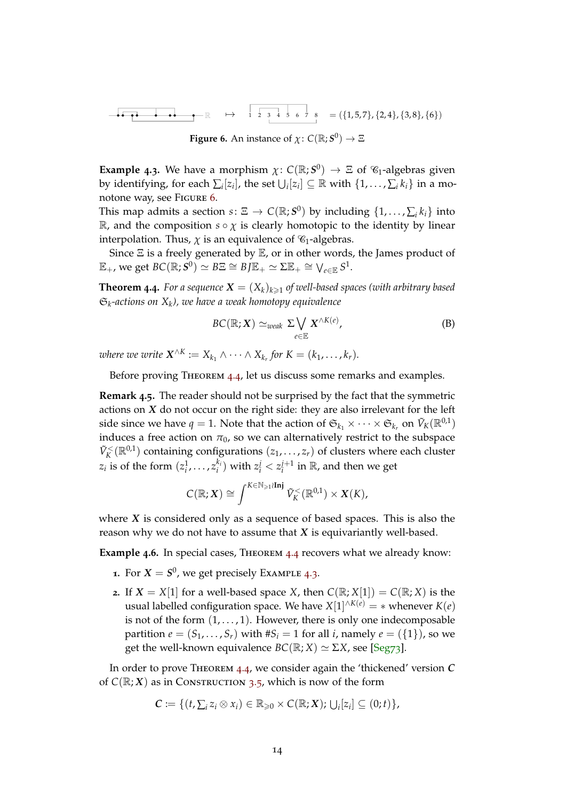<span id="page-13-3"></span><span id="page-13-1"></span>
$$
\mathbb{R} \rightarrow \mathbb{R} \rightarrow \mathbb{R} \rightarrow \mathbb{R} \rightarrow \mathbb{R} \rightarrow \mathbb{R} \rightarrow \mathbb{R} \rightarrow \mathbb{R} \rightarrow \mathbb{R} \rightarrow \mathbb{R} \rightarrow \mathbb{R} \rightarrow \mathbb{R} \rightarrow \mathbb{R} \rightarrow \mathbb{R} \rightarrow \mathbb{R} \rightarrow \mathbb{R} \rightarrow \mathbb{R} \rightarrow \mathbb{R} \rightarrow \mathbb{R} \rightarrow \mathbb{R} \rightarrow \mathbb{R} \rightarrow \mathbb{R} \rightarrow \mathbb{R} \rightarrow \mathbb{R} \rightarrow \mathbb{R} \rightarrow \mathbb{R} \rightarrow \mathbb{R} \rightarrow \mathbb{R} \rightarrow \mathbb{R} \rightarrow \mathbb{R} \rightarrow \mathbb{R} \rightarrow \mathbb{R} \rightarrow \mathbb{R} \rightarrow \mathbb{R} \rightarrow \mathbb{R} \rightarrow \mathbb{R} \rightarrow \mathbb{R} \rightarrow \mathbb{R} \rightarrow \mathbb{R} \rightarrow \mathbb{R} \rightarrow \mathbb{R} \rightarrow \mathbb{R} \rightarrow \mathbb{R} \rightarrow \mathbb{R} \rightarrow \mathbb{R} \rightarrow \mathbb{R} \rightarrow \mathbb{R} \rightarrow \mathbb{R} \rightarrow \mathbb{R} \rightarrow \mathbb{R} \rightarrow \mathbb{R} \rightarrow \mathbb{R} \rightarrow \mathbb{R} \rightarrow \mathbb{R} \rightarrow \mathbb{R} \rightarrow \mathbb{R} \rightarrow \mathbb{R} \rightarrow \mathbb{R} \rightarrow \mathbb{R} \rightarrow \mathbb{R} \rightarrow \mathbb{R} \rightarrow \mathbb{R} \rightarrow \mathbb{R} \rightarrow \mathbb{R} \rightarrow \mathbb{R} \rightarrow \mathbb{R} \rightarrow \mathbb{R} \rightarrow \mathbb{R} \rightarrow \mathbb{R} \rightarrow \mathbb{R} \rightarrow \mathbb{R} \rightarrow \mathbb{R} \rightarrow \mathbb{R} \rightarrow \mathbb{R} \rightarrow \mathbb{R} \rightarrow \mathbb{R} \rightarrow \mathbb{R} \rightarrow \mathbb{R} \rightarrow \mathbb{R} \rightarrow \mathbb{R} \rightarrow \mathbb{R} \rightarrow \mathbb{R} \rightarrow \mathbb{R} \rightarrow \mathbb{R} \rightarrow \mathbb{R} \rightarrow \mathbb{R} \rightarrow \mathbb{R} \rightarrow \mathbb{R} \rightarrow \mathbb{R} \rightarrow \mathbb{R} \rightarrow \mathbb{R} \rightarrow \mathbb{R} \rightarrow \mathbb{R} \rightarrow \mathbb{R} \rightarrow \mathbb{R} \rightarrow
$$

**Figure 6.** An instance of  $\chi: C(\mathbb{R}; S^0) \to \Xi$ 

<span id="page-13-2"></span>**Example 4.3.** We have a morphism  $\chi: C(\mathbb{R}; S^0) \to \Xi$  of  $\mathcal{C}_1$ -algebras given by identifying, for each  $\sum_i [z_i]$ , the set  $\bigcup_i [z_i] \subseteq \mathbb{R}$  with  $\{1, \ldots, \sum_i k_i\}$  in a monotone way, see Figure [6](#page-13-1).

This map admits a section  $s \colon \Xi \to C(\mathbb{R}; S^0)$  by including  $\{1, \ldots, \sum_i k_i\}$  into R, and the composition  $s \circ \chi$  is clearly homotopic to the identity by linear interpolation. Thus,  $\chi$  is an equivalence of  $\mathcal{C}_1$ -algebras.

Since  $\Xi$  is a freely generated by  $\mathbb E$ , or in other words, the James product of  $\mathbb{E}_+$ , we get  $BC(\mathbb{R}; S^0) \simeq BE \cong BJ\mathbb{E}_+ \simeq \Sigma \mathbb{E}_+ \cong \bigvee_{e \in \mathbb{E}} S^1.$ 

<span id="page-13-0"></span>**Theorem 4.4.** For a sequence  $X = (X_k)_{k \geq 1}$  of well-based spaces (with arbitrary based S*k -actions on X<sup>k</sup> ), we have a weak homotopy equivalence*

$$
BC(\mathbb{R}; X) \simeq_{weak} \Sigma \bigvee_{e \in \mathbb{E}} X^{\wedge K(e)}, \tag{B}
$$

*where we write*  $\mathbf{X}^{\wedge K} := X_{k_1} \wedge \cdots \wedge X_{k_r}$  for  $K = (k_1, \ldots, k_r)$ .

Before proving THEOREM [4](#page-13-0).4, let us discuss some remarks and examples.

**Remark 4.5.** The reader should not be surprised by the fact that the symmetric actions on *X* do not occur on the right side: they are also irrelevant for the left side since we have  $q = 1$ . Note that the action of  $\mathfrak{S}_{k_1} \times \cdots \times \mathfrak{S}_{k_r}$  on  $\tilde{V}_K(\mathbb{R}^{0,1})$ induces a free action on  $\pi_0$ , so we can alternatively restrict to the subspace  $\tilde{V}_K^{\langle}(\mathbb{R}^{0,1})$  containing configurations  $(z_1,\ldots,z_r)$  of clusters where each cluster  $z_i$  is of the form  $(z_i^1, \ldots, z_i^k)$  $\mathbf{z}_i^{k_i}$ ) with  $z_i^j < z_i^{j+1}$  in  $\mathbb{R}$ , and then we get

$$
C(\mathbb{R};X) \cong \int^{K \in \mathbb{N}_{\geq 1}\wr\mathbf{Inj}} \tilde{V}_K^{\lt}(\mathbb{R}^{0,1}) \times X(K),
$$

where *X* is considered only as a sequence of based spaces. This is also the reason why we do not have to assume that *X* is equivariantly well-based.

**Example 4.6.** In special cases, Theorem [4](#page-13-0).4 recovers what we already know:

- **1.** For  $X = S^0$ , we get precisely Example [4](#page-13-2).3.
- **2.** If  $X = X[1]$  for a well-based space *X*, then  $C(\mathbb{R}; X[1]) = C(\mathbb{R}; X)$  is the usual labelled configuration space. We have  $X[1]^{n \times (e)} = *$  whenever  $K(e)$ is not of the form  $(1, \ldots, 1)$ . However, there is only one indecomposable partition  $e = (S_1, \ldots, S_r)$  with  $\#S_i = 1$  for all *i*, namely  $e = (\{1\})$ , so we get the well-known equivalence  $BC(\mathbb{R}; X) \simeq \Sigma X$ , see [\[Seg](#page-27-1)73].

In order to prove Theorem 4.[4](#page-13-0), we consider again the 'thickened' version *C* of  $C(\mathbb{R}; X)$  as in Construction [3](#page-8-0).5, which is now of the form

$$
\mathcal{C} := \{ (t, \sum_i z_i \otimes x_i) \in \mathbb{R}_{\geqslant 0} \times C(\mathbb{R}; X); \bigcup_i [z_i] \subseteq (0; t) \},
$$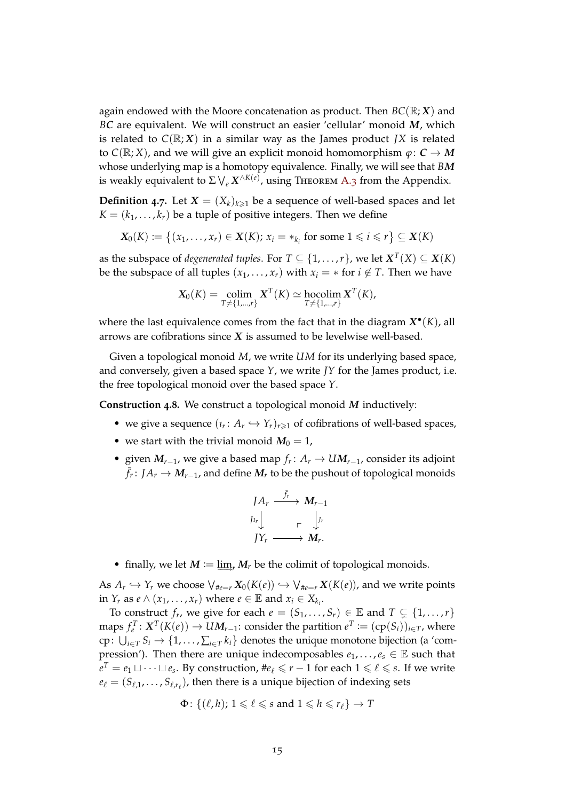again endowed with the Moore concatenation as product. Then  $BC(\mathbb{R}; X)$  and *BC* are equivalent. We will construct an easier 'cellular' monoid *M*, which is related to  $C(\mathbb{R}; X)$  in a similar way as the James product *JX* is related to  $C(\mathbb{R}; X)$ , and we will give an explicit monoid homomorphism  $\varphi: C \to M$ whose underlying map is a homotopy equivalence. Finally, we will see that *BM* is weakly equivalent to  $\Sigma\bigvee_e X^{\wedge K(e)}$ , using Theorem [A.](#page-23-0)3 from the Appendix.

<span id="page-14-0"></span>**Definition 4.7.** Let  $X = (X_k)_{k \geq 1}$  be a sequence of well-based spaces and let  $K = (k_1, \ldots, k_r)$  be a tuple of positive integers. Then we define

$$
X_0(K) := \{(x_1, \ldots, x_r) \in X(K); x_i = *_{k_i} \text{ for some } 1 \leq i \leq r\} \subseteq X(K)
$$

as the subspace of *degenerated tuples*. For  $T \subseteq \{1,\ldots,r\}$ , we let  $\boldsymbol{X}^T(X) \subseteq \boldsymbol{X}(K)$ be the subspace of all tuples  $(x_1, \ldots, x_r)$  with  $x_i = *$  for  $i \notin T$ . Then we have

$$
\mathbf{X}_0(K) = \operatornamewithlimits{colim}_{T \neq \{1,\ldots,r\}} \mathbf{X}^T(K) \simeq \operatornamewithlimits{hocolim}_{T \neq \{1,\ldots,r\}} \mathbf{X}^T(K),
$$

where the last equivalence comes from the fact that in the diagram  $X^{\bullet}(K)$ , all arrows are cofibrations since *X* is assumed to be levelwise well-based.

Given a topological monoid *M*, we write *UM* for its underlying based space, and conversely, given a based space *Y*, we write *JY* for the James product, i.e. the free topological monoid over the based space *Y*.

**Construction 4.8.** We construct a topological monoid *M* inductively:

- we give a sequence  $(\iota_r: A_r \hookrightarrow Y_r)_{r \geq 1}$  of cofibrations of well-based spaces,
- we start with the trivial monoid  $M_0 = 1$ ,
- given  $M_{r-1}$ , we give a based map  $f_r: A_r \to UM_{r-1}$ , consider its adjoint ¯ *fr* : *JA<sup>r</sup>* → *Mr*−1, and define *M<sup>r</sup>* to be the pushout of topological monoids

$$
\begin{array}{ccc}\nJ A_r & \xrightarrow{\bar{f}_r} & M_{r-1} \\
J^{I_r} & & \downarrow^{J_r} \\
J Y_r & \xrightarrow{\qquad} & M_r.\n\end{array}
$$

• finally, we let  $M := \lim_{r} M_r$  be the colimit of topological monoids.

As  $A_r \hookrightarrow Y_r$  we choose  $\bigvee_{\#e=r} X_0(K(e)) \hookrightarrow \bigvee_{\#e=r} X(K(e))$ , and we write points in *Y<sub><i>r*</sub> as *e*  $\wedge$  (*x*<sub>1</sub>, ..., *x<sub>r</sub>*) where *e*  $\in$  E and *x<sub>i</sub>*  $\in$  *X<sub>k<sub>i</sub>*</sub>.

To construct  $f_r$ , we give for each  $e = (S_1, \ldots, S_r) \in \mathbb{E}$  and  $T \subsetneq \{1, \ldots, r\}$  ${\sf maps}\: f^T_e\colon\boldsymbol{X}^T(K(e))\to\boldsymbol{U}\boldsymbol{M}_{r-1}\!\!: \text{consider the partition}\: e^T\coloneqq(\text{cp}(S_i))_{i\in T}$ , where  $\text{cp} \colon \bigcup_{i \in T} S_i \to \{1, \ldots, \sum_{i \in T} k_i\}$  denotes the unique monotone bijection (a 'compression'). Then there are unique indecomposables  $e_1, \ldots, e_s \in \mathbb{E}$  such that *e*<sup>T</sup> = *e*<sub>1</sub> ∆ · · · ∪ *e<sub>s</sub>*. By construction, #*e*<sub>ℓ</sub>  $\leqslant$  *r* − 1 for each 1  $\leqslant$   $\ell$   $\leqslant$  *s*. If we write  $e_{\ell} = (S_{\ell,1}, \ldots, S_{\ell,r_{\ell}})$ , then there is a unique bijection of indexing sets

$$
\Phi\colon \{(\ell,h); 1\leqslant \ell\leqslant s \text{ and } 1\leqslant h\leqslant r_\ell\}\to T
$$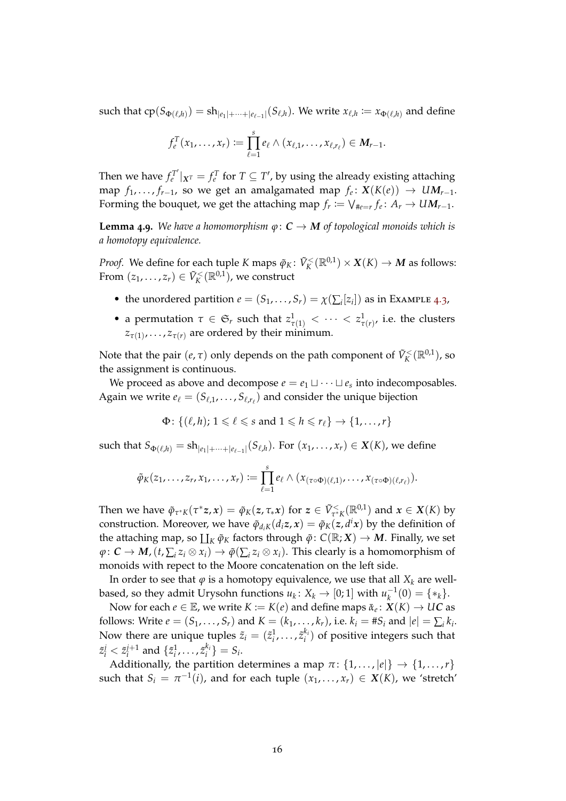such that  $cp(S_{\Phi(\ell,h)}) = sh_{|e_1|+\cdots+|e_{\ell-1}|}(S_{\ell,h})$ . We write  $x_{\ell,h} \coloneqq x_{\Phi(\ell,h)}$  and define

$$
f_e^T(x_1,\ldots,x_r):=\prod_{\ell=1}^s e_\ell\wedge(x_{\ell,1},\ldots,x_{\ell,r_\ell})\in M_{r-1}.
$$

Then we have  $f_e^{T'}$  $|f_{e}^{T'}|_{X^{T}} = f_{e}^{T}$  for  $T \subseteq T'$ , by using the already existing attaching map  $f_1, \ldots, f_{r-1}$ , so we get an amalgamated map  $f_e \colon X(K(e)) \to \mathcal{U}M_{r-1}.$ Forming the bouquet, we get the attaching map  $f_r := \bigvee_{\#e=r} f_e \colon A_r \to UM_{r-1}.$ 

**Lemma 4.9.** We have a homomorphism  $\varphi: C \to M$  of topological monoids which is *a homotopy equivalence.*

*Proof.* We define for each tuple *K* maps  $\tilde{\varphi}_K \colon \tilde{V}_K^{\lt}(\mathbb{R}^{0,1}) \times X(K) \to M$  as follows: From  $(z_1, \ldots, z_r) \in \tilde{V}_K^{\lt}(\mathbb{R}^{0,1})$ , we construct

- the unordered partition  $e = (S_1, \ldots, S_r) = \chi(\sum_i [z_i])$  as in Example [4](#page-13-2).3,
- a permutation  $\tau \in \mathfrak{S}_r$  such that  $z^1_{\tau(1)} < \cdots < z^1_{\tau(r)}$ , i.e. the clusters  $z_{\tau(1)}$ , . . . ,  $z_{\tau(r)}$  are ordered by their minimum.

Note that the pair  $(e, \tau)$  only depends on the path component of  $\tilde{V}_K^{\lt}(\mathbb{R}^{0,1})$ , so the assignment is continuous.

We proceed as above and decompose  $e = e_1 \sqcup \cdots \sqcup e_s$  into indecomposables. Again we write  $e_\ell = (S_{\ell,1}, \ldots, S_{\ell,r_\ell})$  and consider the unique bijection

$$
\Phi\colon \{(\ell,h); 1\leqslant \ell\leqslant s \text{ and } 1\leqslant h\leqslant r_\ell\}\to \{1,\ldots,r\}
$$

 $\text{such that } S_{\Phi(\ell,h)} = \text{sh}_{|e_1|+\cdots+|e_{\ell-1}|}(S_{\ell,h}). \text{ For } (x_1,\ldots,x_r) \in X(K)$ , we define

$$
\tilde{\varphi}_K(z_1,\ldots,z_r,x_1,\ldots,x_r):=\prod_{\ell=1}^s e_\ell\wedge(x_{(\tau\circ\Phi)(\ell,1)},\ldots,x_{(\tau\circ\Phi)(\ell,r_\ell)}).
$$

Then we have  $\tilde{\varphi}_{\tau^*K}(\tau^*z,x) = \tilde{\varphi}_K(z,\tau_*x)$  for  $z \in \tilde{V}^{\leq}_{\tau^*K}(\mathbb{R}^{0,1})$  and  $x \in X(K)$  by construction. Moreover, we have  $\tilde{\varphi}_{d_iK}(d_i z, x) = \tilde{\varphi}_K(z, d^i x)$  by the definition of the attaching map, so  $\iint_K \tilde{\varphi}_K$  factors through  $\tilde{\varphi}$ :  $C(\mathbb{R}; X) \to M$ . Finally, we set  $\varphi\colon\mathcal{C}\to\mathcal{M}$ ,  $(t,\sum_i z_i\otimes x_i)\to\tilde{\varphi}(\sum_i z_i\otimes x_i).$  This clearly is a homomorphism of monoids with repect to the Moore concatenation on the left side.

In order to see that  $\varphi$  is a homotopy equivalence, we use that all  $X_k$  are wellbased, so they admit Urysohn functions  $u_k \colon X_k \to [0;1]$  with  $u_k^{-1}$  $\binom{-1}{k}(0) = \{*_k\}.$ 

Now for each  $e \in \mathbb{E}$ , we write  $K \coloneqq K(e)$  and define maps  $\bar{\alpha}_e \colon X(K) \to U\mathbb{C}$  as follows: Write  $e = (S_1, \ldots, S_r)$  and  $K = (k_1, \ldots, k_r)$ , i.e.  $k_i = #S_i$  and  $|e| = \sum_i k_i$ . Now there are unique tuples  $\tilde{z}_i = (\tilde{z}_i^1, \ldots, \tilde{z}_i^{k_i})$  $\binom{k_i}{i}$  of positive integers such that  $\tilde{z}_i^j < \tilde{z}_i^{j+1}$  and  $\{\tilde{z}_i^1, \ldots, \tilde{z}_i^{k_i}\}$  $\binom{k_i}{i} = S_i$ .

Additionally, the partition determines a map  $\pi$ : {1,...,|e|}  $\rightarrow$  {1,...,*r*} such that  $S_i = \pi^{-1}(i)$ , and for each tuple  $(x_1, \ldots, x_r) \in X(K)$ , we 'stretch'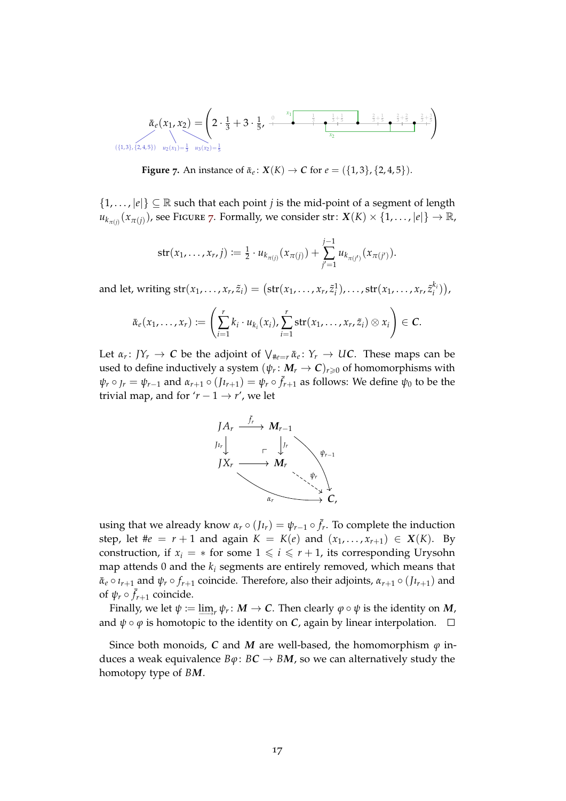<span id="page-16-0"></span>
$$
\bar{\alpha}_e(x_1, x_2) = \left(2 \cdot \frac{1}{3} + 3 \cdot \frac{1}{5}, \frac{0}{1} + \frac{0}{1} + \frac{0}{1} + \frac{0}{1} + \frac{0}{1} + \frac{0}{1} + \frac{0}{1} + \frac{1}{1} + \frac{1}{1} + \frac{1}{1} + \frac{1}{1} + \frac{1}{1} + \frac{1}{1} + \frac{1}{1} + \frac{1}{1} + \frac{1}{1} + \frac{1}{1} + \frac{1}{1} + \frac{1}{1} + \frac{1}{1} + \frac{1}{1} + \frac{1}{1} + \frac{1}{1} + \frac{1}{1} + \frac{1}{1} + \frac{1}{1} + \frac{1}{1} + \frac{1}{1} + \frac{1}{1} + \frac{1}{1} + \frac{1}{1} + \frac{1}{1} + \frac{1}{1} + \frac{1}{1} + \frac{1}{1} + \frac{1}{1} + \frac{1}{1} + \frac{1}{1} + \frac{1}{1} + \frac{1}{1} + \frac{1}{1} + \frac{1}{1} + \frac{1}{1} + \frac{1}{1} + \frac{1}{1} + \frac{1}{1} + \frac{1}{1} + \frac{1}{1} + \frac{1}{1} + \frac{1}{1} + \frac{1}{1} + \frac{1}{1} + \frac{1}{1} + \frac{1}{1} + \frac{1}{1} + \frac{1}{1} + \frac{1}{1} + \frac{1}{1} + \frac{1}{1} + \frac{1}{1} + \frac{1}{1} + \frac{1}{1} + \frac{1}{1} + \frac{1}{1} + \frac{1}{1} + \frac{1}{1} + \frac{1}{1} + \frac{1}{1} + \frac{1}{1} + \frac{1}{1} + \frac{1}{1} + \frac{1}{1} + \frac{1}{1} + \frac{1}{1} + \frac{1}{1} + \frac{1}{1} + \frac{1}{1} + \frac{1}{1} + \frac{1}{1} + \frac{1}{1} + \frac{1}{1} + \frac{1}{1} + \frac{1}{1} + \frac{1}{1} + \frac{1}{1} + \frac{1}{1} + \frac{1}{1} + \frac{1}{1} + \frac{1}{1} + \frac{1}{1} +
$$

**Figure** 7. An instance of  $\bar{\alpha}_e$ :  $X(K) \to C$  for  $e = (\{1, 3\}, \{2, 4, 5\})$ .

 $\{1,\ldots,|e|\}\subseteq\mathbb{R}$  such that each point *j* is the mid-point of a segment of length  $u_{k_{\pi(j)}}(x_{\pi(j)})$ , see Figure [7](#page-16-0). Formally, we consider str:  $X(K) \times \{1, \ldots, |e|\} \to \mathbb{R}$ ,

str
$$
(x_1, ..., x_r, j) := \frac{1}{2} \cdot u_{k_{\pi(j)}}(x_{\pi(j)}) + \sum_{j'=1}^{j-1} u_{k_{\pi(j')}}(x_{\pi(j')}).
$$

and let, writing  $str(x_1, ..., x_r, \tilde{z}_i) = (str(x_1, ..., x_r, \tilde{z}_i^1), ..., str(x_1, ..., x_r, \tilde{z}_i^k))$  $\binom{k_i}{i}$ 

$$
\bar{\alpha}_e(x_1,\ldots,x_r):=\left(\sum_{i=1}^r k_i\cdot u_{k_i}(x_i),\sum_{i=1}^r \operatorname{str}(x_1,\ldots,x_r,\tilde{z}_i)\otimes x_i\right)\in \mathcal{C}.
$$

Let  $\alpha_r: JY_r \to \mathbb{C}$  be the adjoint of  $\bigvee_{\#e=r} \bar{\alpha}_e: Y_r \to \mathcal{UC}$ . These maps can be used to define inductively a system  $(\psi_r\colon M_r\to \mathcal{C})_{r\geqslant 0}$  of homomorphisms with  $\psi_r \circ f_r = \psi_{r-1}$  and  $\alpha_{r+1} \circ (J \iota_{r+1}) = \psi_r \circ \bar{f}_{r+1}$  as follows: We define  $\psi_0$  to be the trivial map, and for  $'r - 1 \rightarrow r'$ , we let



using that we already know  $\alpha_r \circ (J_{l_r}) = \psi_{r-1} \circ \bar{f}_r$ . To complete the induction step, let  $\#e = r + 1$  and again  $K = K(e)$  and  $(x_1, ..., x_{r+1}) \in X(K)$ . By construction, if  $x_i = *$  for some  $1 \leq i \leq r + 1$ , its corresponding Urysohn map attends 0 and the  $k_i$  segments are entirely removed, which means that  $\bar{\alpha}_e \circ \iota_{r+1}$  and  $\psi_r \circ f_{r+1}$  coincide. Therefore, also their adjoints,  $\alpha_{r+1} \circ (J \iota_{r+1})$  and of  $\psi_r \circ \bar{f}_{r+1}$  coincide.

Finally, we let  $\psi \coloneqq \varinjlim_r \psi_r \colon M \to \mathcal{C}.$  Then clearly  $\varphi \circ \psi$  is the identity on  $M$ , and  $\psi \circ \varphi$  is homotopic to the identity on *C*, again by linear interpolation.  $\square$ 

Since both monoids, *C* and *M* are well-based, the homomorphism  $\varphi$  induces a weak equivalence  $B\varphi: BC \to BM$ , so we can alternatively study the homotopy type of *BM*.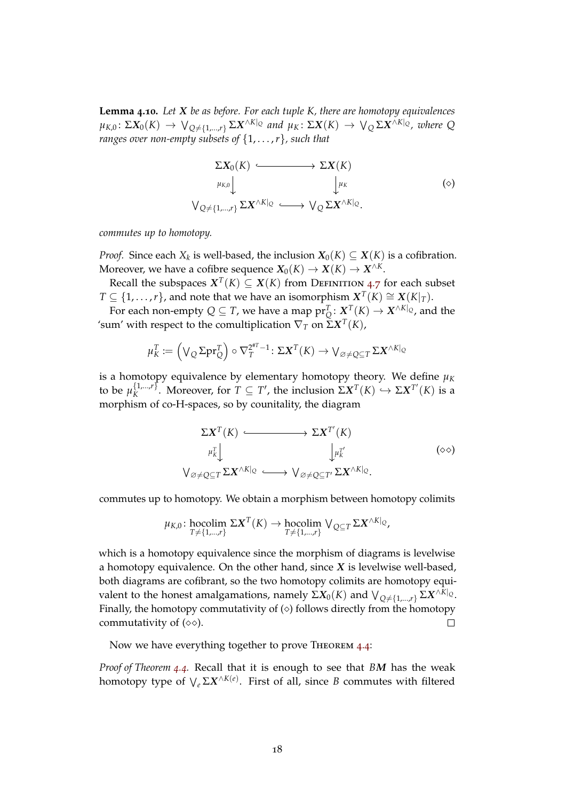<span id="page-17-0"></span>**Lemma 4.10.** *Let X be as before. For each tuple K, there are homotopy equivalences*  $\mu_{K,0} \colon \Sigma X_0(K) \to \bigvee_{Q \neq \{1,\dots,r\}} \Sigma X^{\wedge K|_Q}$  and  $\mu_K \colon \Sigma X(K) \to \bigvee_Q \Sigma X^{\wedge K|_Q}$ , where  $Q$ *ranges over non-empty subsets of* {1, . . . ,*r*}*, such that*

$$
\Sigma X_0(K) \longleftrightarrow \Sigma X(K)
$$
  
\n
$$
\mu_{K,0} \downarrow \qquad \qquad \downarrow \mu_K
$$
  
\n
$$
\bigvee_{Q \neq \{1,\dots,r\}} \Sigma X^{\wedge K|_Q} \longleftrightarrow \bigvee_Q \Sigma X^{\wedge K|_Q}.
$$
  
\n(0)

*commutes up to homotopy.*

*Proof.* Since each  $X_k$  is well-based, the inclusion  $X_0(K) \subseteq X(K)$  is a cofibration. Moreover, we have a cofibre sequence  $X_0(K) \to X(K) \to X^{\wedge K}$ .

Recall the subspaces  $X^T(K) \subseteq X(K)$  from Definition [4](#page-14-0).7 for each subset  $T \subseteq \{1, \ldots, r\}$ , and note that we have an isomorphism  $X^T(K) \cong X(K|_T)$ .

For each non-empty  $Q \subseteq T$ , we have a map  $\text{pr}_{Q}^{T} \colon \underline{X}^{T}(K) \to X^{\wedge K|_{Q}}$ , and the 'sum' with respect to the comultiplication ∇*<sup>T</sup>* on Σ*X T* (*K*),

$$
\mu_K^T := \left(\bigvee_Q \Sigma \mathrm{pr}_Q^T\right) \circ \nabla_T^{2^{*T}-1} \colon \Sigma \mathbf{X}^T(K) \to \bigvee_{\varnothing \neq Q \subseteq T} \Sigma \mathbf{X}^{\wedge K|_Q}
$$

is a homotopy equivalence by elementary homotopy theory. We define  $\mu_K$ to be  $\mu_K^{\{1,\dots,r\}}$  $K_K^{\{1,\ldots,r\}}$ . Moreover, for  $T \subseteq T'$ , the inclusion  $\Sigma \mathbf{X}^T(K) \hookrightarrow \Sigma \mathbf{X}^{T'}(K)$  is a morphism of co-H-spaces, so by counitality, the diagram

$$
\Sigma \mathbf{X}^{T}(K) \longleftrightarrow \Sigma \mathbf{X}^{T'}(K)
$$
  
\n
$$
\mu_{K}^{T} \downarrow \qquad \qquad \downarrow \mu_{K}^{T'} \qquad \qquad (\diamond \diamond)
$$
  
\n
$$
\mathsf{V}_{\varnothing \neq \mathbb{Q} \subseteq T} \Sigma \mathbf{X}^{\wedge K}|_{\mathbb{Q}} \longleftrightarrow \mathsf{V}_{\varnothing \neq \mathbb{Q} \subseteq T'} \Sigma \mathbf{X}^{\wedge K}|_{\mathbb{Q}}.
$$
 (90)

commutes up to homotopy. We obtain a morphism between homotopy colimits

$$
\mu_{K,0}\colon \underset{T\neq\{1,\ldots,r\}}{\text{hocolim}} \Sigma \mathbf{X}^T(K) \to \underset{T\neq\{1,\ldots,r\}}{\text{hocolim}} \bigvee_{Q\subseteq T} \Sigma \mathbf{X}^{\wedge K|_Q},
$$

which is a homotopy equivalence since the morphism of diagrams is levelwise a homotopy equivalence. On the other hand, since *X* is levelwise well-based, both diagrams are cofibrant, so the two homotopy colimits are homotopy equivalent to the honest amalgamations, namely Σ $X_0(K)$  and  $\bigvee_{Q\neq\{1,\ldots,r\}} \Sigma X^{\wedge K|_Q}.$ Finally, the homotopy commutativity of  $(\diamond)$  follows directly from the homotopy commutativity of  $(\diamond \diamond)$ .  $\Box$ 

Now we have everything together to prove THEOREM [4](#page-13-0).4:

*Proof of Theorem [4](#page-13-0).4.* Recall that it is enough to see that *BM* has the weak homotopy type of  $\bigvee_{e} \Sigma X^{\wedge K(e)}.$  First of all, since  $B$  commutes with filtered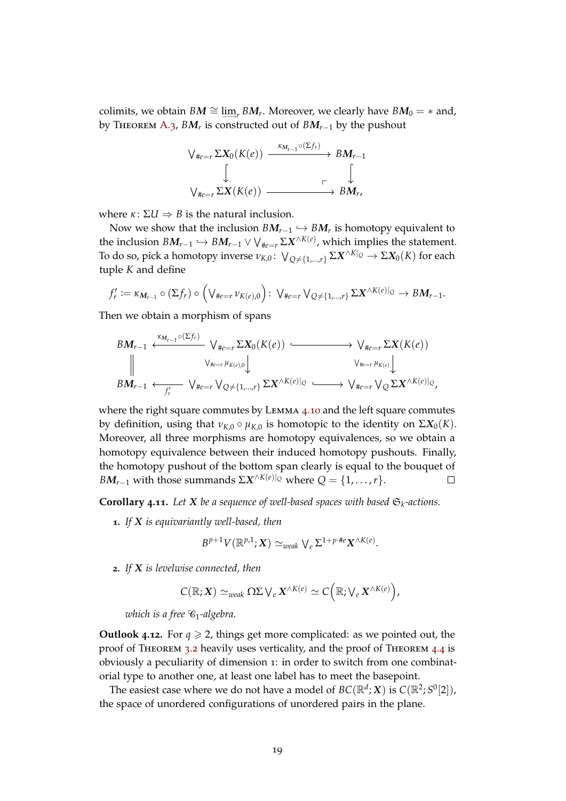colimits, we obtain  $BM \cong \varinjlim_r BM_r$ . Moreover, we clearly have  $BM_0 = *$  and, by Theorem [A.](#page-23-0)3, *BM<sup>r</sup>* is constructed out of *BMr*−<sup>1</sup> by the pushout



where  $\kappa$  :  $\Sigma U \Rightarrow B$  is the natural inclusion.

Now we show that the inclusion  $BM_{r-1} \hookrightarrow BM_r$  is homotopy equivalent to the inclusion  $BM_{r-1}\hookrightarrow BM_{r-1}\vee \vee_{\#e=r} \Sigma X^{\wedge K(e)},$  which implies the statement. Το do so, pick a homotopy inverse  $\nu_{K,0}\colon \vee_{Q \neq \{1,...,r\}} \Sigma X^{\wedge K|_Q} \to \Sigma X_0(K)$  for each tuple *K* and define

$$
f'_r := \kappa_{\mathbf{M}_{r-1}} \circ (\Sigma f_r) \circ \left(\bigvee_{\#e=r} \nu_{K(e),0}\right) : \ \bigvee_{\#e=r} \bigvee_{Q \neq \{1,\dots,r\}} \Sigma \mathbf{X}^{\wedge K(e)}|_{Q} \to B\mathbf{M}_{r-1}.
$$

Then we obtain a morphism of spans

$$
BM_{r-1} \xleftarrow{\kappa_{M_{r-1}} \circ (\Sigma f_r)} \vee_{\#e=r} \Sigma X_0(K(e)) \xrightarrow{\qquad \qquad} \vee_{\#e=r} \Sigma X(K(e))
$$
  
\n
$$
\parallel \qquad \qquad \vee_{\#e=r} \mu_{K(e),0} \downarrow \qquad \qquad \vee_{\#e=r} \mu_{K(e)} \downarrow
$$
  
\n
$$
BM_{r-1} \xleftarrow{f'_r} \vee_{\#e=r} \vee_{Q \neq \{1,\dots,r\}} \Sigma X^{\wedge K(e)}|_{Q} \xrightarrow{\qquad \qquad} \vee_{\#e=r} \vee_{Q} \Sigma X^{\wedge K(e)}|_{Q},
$$

where the right square commutes by Lemma 4.[10](#page-17-0) and the left square commutes by definition, using that  $ν_{K,0} \circ μ_{K,0}$  is homotopic to the identity on  $\Sigma X_0(K)$ . Moreover, all three morphisms are homotopy equivalences, so we obtain a homotopy equivalence between their induced homotopy pushouts. Finally, the homotopy pushout of the bottom span clearly is equal to the bouquet of *BM*<sub>*r*−1</sub> with those summands  $\Sigma X^{\wedge K(e)|_{Q}}$  where  $Q = \{1, ..., r\}.$ 

**Corollary 4.11.** Let  $X$  be a sequence of well-based spaces with based  $\mathfrak{S}_k$ -actions.

**1.** *If X is equivariantly well-based, then*

$$
B^{p+1}V(\mathbb{R}^{p,1};X)\simeq_{weak} \bigvee_e \Sigma^{1+p\cdot\#e}X^{\wedge K(e)}.
$$

**2.** *If X is levelwise connected, then*

$$
C(\mathbb{R};X) \simeq_{weak} \Omega \Sigma \bigvee_e X^{\wedge K(e)} \simeq C\Big(\mathbb{R};\bigvee_e X^{\wedge K(e)}\Big),
$$

*which is a free*  $\mathcal{C}_1$ -algebra.

**Outlook** 4.12. For  $q \ge 2$ , things get more complicated: as we pointed out, the proof of Theorem [3](#page-7-0).2 heavily uses verticality, and the proof of Theorem [4](#page-13-0).4 is obviously a peculiarity of dimension 1: in order to switch from one combinatorial type to another one, at least one label has to meet the basepoint.

The easiest case where we do not have a model of  $BC(\mathbb{R}^d; X)$  is  $C(\mathbb{R}^2; S^0[2])$ , the space of unordered configurations of unordered pairs in the plane.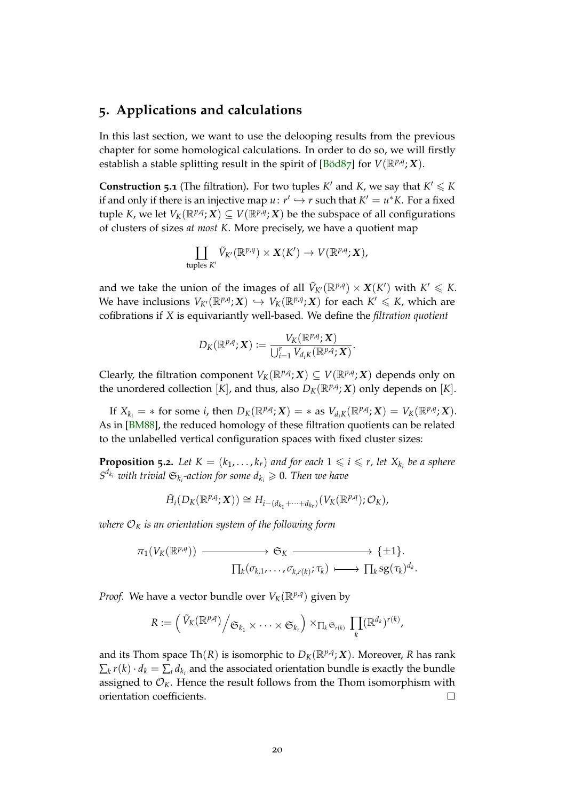## <span id="page-19-2"></span><span id="page-19-0"></span>**5. Applications and calculations**

In this last section, we want to use the delooping results from the previous chapter for some homological calculations. In order to do so, we will firstly establish a stable splitting result in the spirit of [\[Böd](#page-26-0)87] for  $V(\mathbb{R}^{p,q}; X)$ .

**Construction 5.1** (The filtration). For two tuples  $K'$  and  $K$ , we say that  $K' \leq K$ if and only if there is an injective map  $u: r' \hookrightarrow r$  such that  $K' = u^*K$ . For a fixed tuple *K*, we let  $V_K(\mathbb{R}^{p,q}; X) \subseteq V(\mathbb{R}^{p,q}; X)$  be the subspace of all configurations of clusters of sizes *at most K*. More precisely, we have a quotient map

$$
\coprod_{\text{tuples } K'} \tilde{V}_{K'}(\mathbb{R}^{p,q}) \times X(K') \to V(\mathbb{R}^{p,q}; X),
$$

and we take the union of the images of all  $\tilde{V}_{K'}(\mathbb{R}^{p,q}) \times X(K')$  with  $K' \leqslant K$ . We have inclusions  $V_{K'}(\mathbb{R}^{p,q}; X) \hookrightarrow V_K(\mathbb{R}^{p,q}; X)$  for each  $K' \leqslant K$ , which are cofibrations if *X* is equivariantly well-based. We define the *filtration quotient*

$$
D_K(\mathbb{R}^{p,q};\boldsymbol{X}):=\frac{V_K(\mathbb{R}^{p,q};\boldsymbol{X})}{\bigcup_{i=1}^r V_{d_iK}(\mathbb{R}^{p,q};\boldsymbol{X})}.
$$

Clearly, the filtration component  $V_K(\mathbb{R}^{p,q}; X) \subseteq V(\mathbb{R}^{p,q}; X)$  depends only on the unordered collection  $[K]$ , and thus, also  $D_K(\mathbb{R}^{p,q}; X)$  only depends on  $[K]$ .

If  $X_{k_i}$  = \* for some *i*, then  $D_K(\mathbb{R}^{p,q}; X)$  = \* as  $V_{d_iK}(\mathbb{R}^{p,q}; X) = V_K(\mathbb{R}^{p,q}; X)$ . As in [\[BM](#page-26-3)88], the reduced homology of these filtration quotients can be related to the unlabelled vertical configuration spaces with fixed cluster sizes:

<span id="page-19-1"></span>**Proposition 5.2.** Let  $K = (k_1, \ldots, k_r)$  and for each  $1 \leq i \leq r$ , let  $X_{k_i}$  be a sphere  $S^{d_{k_i}}$  *with trivial*  $\mathfrak{S}_{k_i}$ -action for some  $d_{k_i}\geqslant 0$ . Then we have

$$
\tilde{H}_i(D_K(\mathbb{R}^{p,q};\mathbf{X})) \cong H_{i-(d_{k_1}+\cdots+d_{k_r})}(V_K(\mathbb{R}^{p,q});\mathcal{O}_K),
$$

*where*  $\mathcal{O}_K$  *is an orientation system of the following form* 

$$
\pi_1(V_K(\mathbb{R}^{p,q})) \longrightarrow \mathfrak{S}_K \longrightarrow {\{\pm 1\}}.
$$

$$
\prod_k(\sigma_{k,1},\ldots,\sigma_{k,r(k)};\tau_k) \longmapsto \prod_k sg(\tau_k)^{d_k}.
$$

*Proof.* We have a vector bundle over  $V_K(\mathbb{R}^{p,q})$  given by

$$
R := \left( \left( \tilde{V}_K(\mathbb{R}^{p,q}) \middle/ \mathfrak{S}_{k_1} \times \cdots \times \mathfrak{S}_{k_r} \right) \times_{\prod_k \mathfrak{S}_{r(k)}} \prod_k (\mathbb{R}^{d_k})^{r(k)}, \right)
$$

and its Thom space Th $(R)$  is isomorphic to  $D_K(\mathbb{R}^{p,q}; \mathbf{X})$ . Moreover,  $R$  has rank  $\sum_{k} r(k) \cdot d_k = \sum_{i} d_{k_i}$  and the associated orientation bundle is exactly the bundle assigned to  $\mathcal{O}_K$ . Hence the result follows from the Thom isomorphism with orientation coefficients.  $\Box$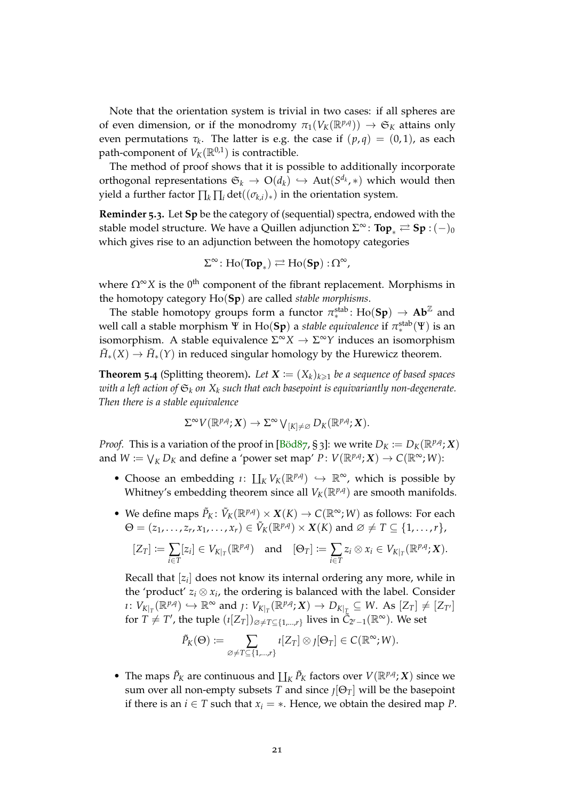<span id="page-20-0"></span>Note that the orientation system is trivial in two cases: if all spheres are of even dimension, or if the monodromy  $\pi_1(V_K(\mathbb{R}^{p,q})) \to \mathfrak{S}_K$  attains only even permutations  $τ_k$ . The latter is e.g. the case if  $(p,q) = (0,1)$ , as each path-component of  $V_K(\mathbb{R}^{0,1})$  is contractible.

The method of proof shows that it is possible to additionally incorporate orthogonal representations  $\mathfrak{S}_k \rightarrow \mathrm{O}(d_k) \hookrightarrow \mathrm{Aut}(S^{d_k},*)$  which would then yield a further factor  $\prod_k \prod_i det((\sigma_{k,i})_*)$  in the orientation system.

**Reminder 5.3.** Let **Sp** be the category of (sequential) spectra, endowed with the stable model structure. We have a Quillen adjunction  $\Sigma^\infty$ : **Top**<sub>∗</sub>  $\rightleftarrows$  **Sp** :  $(-)_0$ which gives rise to an adjunction between the homotopy categories

$$
\Sigma^\infty \colon \text{Ho}(\text{Top}_*) \rightleftarrows \text{Ho}(\text{Sp}) : \Omega^\infty,
$$

where  $\Omega^{\infty}X$  is the 0<sup>th</sup> component of the fibrant replacement. Morphisms in the homotopy category Ho(**Sp**) are called *stable morphisms*.

The stable homotopy groups form a functor  $\pi^{\text{stab}}_*$ : Ho(Sp)  $\rightarrow$  Ab<sup>Z</sup> and well call a stable morphism Ψ in Ho(Sp) a *stable equivalence* if  $\pi^{\rm stab}_{\ast}(\Psi)$  is an isomorphism. A stable equivalence  $\Sigma^{\infty}X \to \Sigma^{\infty}Y$  induces an isomorphism  $\tilde{H}_*(X) \to \tilde{H}_*(Y)$  in reduced singular homology by the Hurewicz theorem.

**Theorem 5.4** (Splitting theorem). Let  $X := (X_k)_{k \geq 1}$  be a sequence of based spaces *with a left action of* S*<sup>k</sup> on X<sup>k</sup> such that each basepoint is equivariantly non-degenerate. Then there is a stable equivalence*

$$
\Sigma^{\infty} V(\mathbb{R}^{p,q}; X) \to \Sigma^{\infty} V_{[K] \neq \varnothing} D_K(\mathbb{R}^{p,q}; X).
$$

*Proof.* This is a variation of the proof in [\[Böd](#page-26-0)87, § 3]: we write  $D_K := D_K(\mathbb{R}^{p,q}; X)$ and  $W := \bigvee_K D_K$  and define a 'power set map'  $P \colon V(\mathbb{R}^{p,q}; X) \to C(\mathbb{R}^{\infty}; W)$ :

- Choose an embedding  $\iota: \coprod_K V_K(\mathbb{R}^{p,q}) \hookrightarrow \mathbb{R}^{\infty}$ , which is possible by Whitney's embedding theorem since all  $V_K(\mathbb{R}^{p,q})$  are smooth manifolds.
- We define maps  $\tilde{P}_K$ :  $\tilde{V}_K(\mathbb{R}^{p,q}) \times X(K) \to C(\mathbb{R}^\infty; W)$  as follows: For each  $\Theta = (z_1, \ldots, z_r, x_1, \ldots, x_r) \in \tilde{V}_K(\mathbb{R}^{p,q}) \times \mathbf{X}(K)$  and  $\varnothing \neq T \subseteq \{1, \ldots, r\},$

$$
[Z_T] := \sum_{i \in T} [z_i] \in V_{K|_T}(\mathbb{R}^{p,q}) \text{ and } [\Theta_T] := \sum_{i \in T} z_i \otimes x_i \in V_{K|_T}(\mathbb{R}^{p,q}; X).
$$

Recall that [*z<sup>i</sup>* ] does not know its internal ordering any more, while in the 'product'  $z_i \otimes x_i$ , the ordering is balanced with the label. Consider  $\iota: V_{K|_T}(\mathbb{R}^{p,q}) \hookrightarrow \mathbb{R}^{\infty}$  and  $\jota: V_{K|_T}(\mathbb{R}^{p,q}; X) \to D_{K|_T} \subseteq W$ . As  $[Z_T] \neq [Z_{T'}]$ for  $T \neq T'$ , the tuple  $(\iota[Z_T])_{\emptyset \neq T \subseteq \{1,\dots,r\}}$  lives in  $\tilde{C}_{2^r-1}(\mathbb{R}^{\infty})$ . We set

$$
\tilde{P}_K(\Theta) := \sum_{\varnothing \neq T \subseteq \{1,\ldots,r\}} \iota[Z_T] \otimes \iota[\Theta_T] \in C(\mathbb{R}^\infty; W).
$$

• The maps  $\tilde{P}_K$  are continuous and  $\prod_K \tilde{P}_K$  factors over  $V(\mathbb{R}^{p,q}; X)$  since we sum over all non-empty subsets *T* and since  $\iint_{I}[\Theta_T]$  will be the basepoint if there is an *i*  $\in$  *T* such that  $x_i = *$ . Hence, we obtain the desired map *P*.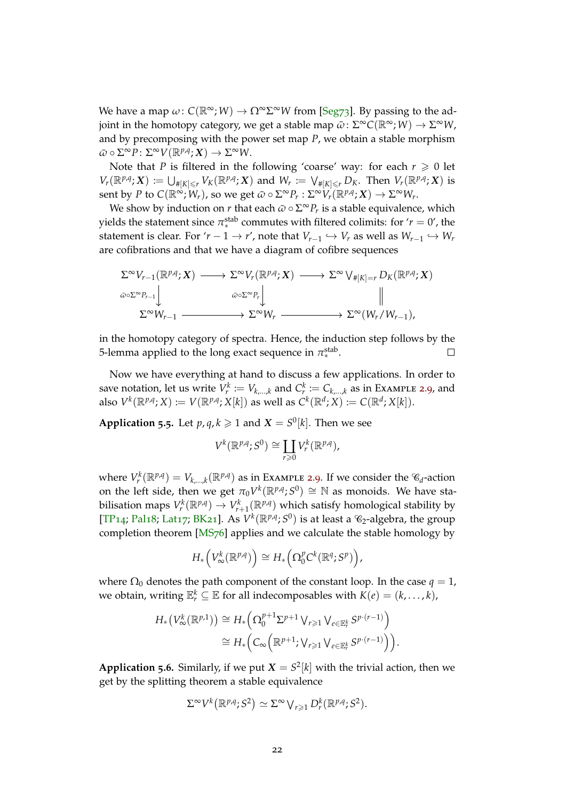<span id="page-21-0"></span>We have a map  $\omega$ :  $C(\mathbb{R}^{\infty}; W) \to \Omega^{\infty} \Sigma^{\infty} W$  from [\[Seg](#page-27-1)73]. By passing to the adjoint in the homotopy category, we get a stable map  $\bar{\omega}$  :  $\Sigma^\infty C(\mathbb{R}^\infty; W) \to \Sigma^\infty W$ , and by precomposing with the power set map *P*, we obtain a stable morphism  $\bar{\omega} \circ \Sigma^{\infty} P \colon \Sigma^{\infty} V(\mathbb{R}^{p,q}; X) \to \Sigma^{\infty} W.$ 

Note that *P* is filtered in the following 'coarse' way: for each  $r \ge 0$  let  $V_r(\mathbb{R}^{p,q};X) \coloneqq \bigcup_{\#[K]\leq r} V_K(\mathbb{R}^{p,q};X)$  and  $W_r \coloneqq \bigvee_{\#[K]\leq r} D_K$ . Then  $V_r(\mathbb{R}^{p,q};X)$  is  $\text{sent by } P \text{ to } C(\mathbb{R}^\infty; W_r), \text{ so we get } \bar{\omega} \circ \Sigma^\infty P_r: \Sigma^\infty \overset{\sim}{V_r}(\mathbb{R}^{p,q};X) \to \Sigma^\infty W_r.$ 

We show by induction on  $r$  that each  $\bar{\omega} \circ \Sigma^{\infty} P_r$  is a stable equivalence, which yields the statement since  $\pi^{\text{stab}}_*$  commutes with filtered colimits: for ' $r = 0$ ', the statement is clear. For '*r* − 1 → *r'*, note that  $V_{r-1} \hookrightarrow V_r$  as well as  $W_{r-1} \hookrightarrow W_r$ are cofibrations and that we have a diagram of cofibre sequences

$$
\Sigma^{\infty} V_{r-1}(\mathbb{R}^{p,q}; X) \longrightarrow \Sigma^{\infty} V_r(\mathbb{R}^{p,q}; X) \longrightarrow \Sigma^{\infty} V_{\#[K]=r} D_K(\mathbb{R}^{p,q}; X)
$$
  

$$
\omega \circ \Sigma^{\infty} P_{r-1} \downarrow \qquad \omega \circ \Sigma^{\infty} P_r \downarrow \qquad \qquad \downarrow
$$
  

$$
\Sigma^{\infty} W_{r-1} \longrightarrow \Sigma^{\infty} W_r \longrightarrow \Sigma^{\infty} (W_r/W_{r-1}),
$$

in the homotopy category of spectra. Hence, the induction step follows by the 5-lemma applied to the long exact sequence in  $\pi_*^{\text{stab}}$ . П

Now we have everything at hand to discuss a few applications. In order to save notation, let us write  $V_r^k := V_{k,\dots,k}$  and  $C_r^k := C_{k,\dots,k}$  as in Example [2](#page-5-1).9, and  $\mathcal{A}$  also  $V^k(\mathbb{R}^{p,q}; X) := V(\mathbb{R}^{p,q}; X[k])$  as well as  $C^k(\mathbb{R}^d; X) := C(\mathbb{R}^d; X[k])$ .

**Application 5.5.** Let  $p, q, k \ge 1$  and  $X = S^0[k]$ . Then we see

$$
V^k(\mathbb{R}^{p,q};S^0)\cong \coprod_{r\geq 0} V^k_r(\mathbb{R}^{p,q}),
$$

where  $V_r^k(\mathbb{R}^{p,q}) = V_{k,\dots,k}(\mathbb{R}^{p,q})$  as in Example [2](#page-5-1).9. If we consider the  $\mathscr{C}_d$ -action on the left side, then we get  $\pi_0 V^k(\mathbb{R}^{p,q}; S^0) \cong \mathbb{N}$  as monoids. We have stabilisation maps  $V_r^k(\mathbb{R}^{p,q}) \to V_{r+1}^k(\mathbb{R}^{p,q})$  which satisfy homological stability by [\[TP](#page-28-1)<sub>14</sub>; [Pal](#page-27-7)<sub>1</sub>8; [Lat](#page-27-10)<sub>17</sub>; [BK](#page-26-1)<sub>21</sub>]. As  $V^k(\mathbb{R}^{p,q}; S^0)$  is at least a  $\mathcal{C}_2$ -algebra, the group completion theorem [\[MS](#page-27-13)76] applies and we calculate the stable homology by

$$
H_*\left(V^k_{\infty}(\mathbb{R}^{p,q})\right) \cong H_*\left(\Omega_0^p C^k(\mathbb{R}^q; S^p)\right),\,
$$

where  $\Omega_0$  denotes the path component of the constant loop. In the case  $q = 1$ , we obtain, writing  $\mathbb{E}_r^k \subseteq \mathbb{E}$  for all indecomposables with  $K(e) = (k, \ldots, k)$ ,

$$
H_*\left(V^k_{\infty}(\mathbb{R}^{p,1})\right) \cong H_*\left(\Omega_0^{p+1} \Sigma^{p+1} \bigvee_{r \geq 1} \bigvee_{e \in \mathbb{E}_r^k} S^{p \cdot (r-1)}\right)
$$
  

$$
\cong H_*\left(C_{\infty}\left(\mathbb{R}^{p+1}; \bigvee_{r \geq 1} \bigvee_{e \in \mathbb{E}_r^k} S^{p \cdot (r-1)}\right)\right).
$$

**Application 5.6.** Similarly, if we put  $X = S^2[k]$  with the trivial action, then we get by the splitting theorem a stable equivalence

$$
\Sigma^{\infty} V^k(\mathbb{R}^{p,q};S^2) \simeq \Sigma^{\infty} \bigvee_{r \geq 1} D^k_r(\mathbb{R}^{p,q};S^2).
$$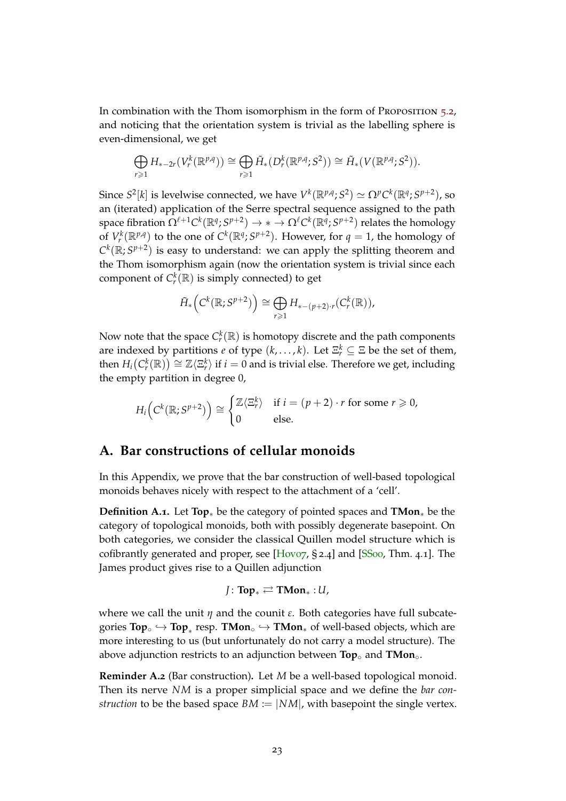<span id="page-22-1"></span>In combination with the Thom isomorphism in the form of Proposition [5](#page-19-1).2, and noticing that the orientation system is trivial as the labelling sphere is even-dimensional, we get

$$
\bigoplus_{r\geq 1} H_{*-2r}(V_r^k(\mathbb{R}^{p,q})) \cong \bigoplus_{r\geq 1} \tilde{H}_*(D_r^k(\mathbb{R}^{p,q};S^2)) \cong \tilde{H}_*(V(\mathbb{R}^{p,q};S^2)).
$$

Since  $S^2[k]$  is levelwise connected, we have  $V^k(\mathbb{R}^{p,q};S^2) \simeq \Omega^p C^k(\mathbb{R}^q;S^{p+2})$ , so an (iterated) application of the Serre spectral sequence assigned to the path space fibration  $\Omega^{\ell+1}C^k(\mathbb{R}^q; S^{p+2})\to * \to \Omega^\ell C^k(\mathbb{R}^q; S^{p+2})$  relates the homology of  $V_r^k(\mathbb{R}^p)^q$  to the one of  $C^k(\mathbb{R}^q; S^{p+2})$ . However, for  $q = 1$ , the homology of  $C^k(\mathbb{R}; S^{p+2})$  is easy to understand: we can apply the splitting theorem and the Thom isomorphism again (now the orientation system is trivial since each component of  $C_r^k(\mathbb{R})$  is simply connected) to get

$$
\tilde{H}_*\left(\mathcal{C}^k(\mathbb{R};\mathcal{S}^{p+2})\right) \cong \bigoplus_{r \geq 1} H_{*-(p+2)\cdot r}(\mathcal{C}^k_r(\mathbb{R})),
$$

Now note that the space  $C_r^k(\mathbb{R})$  is homotopy discrete and the path components are indexed by partitions *e* of type  $(k, \ldots, k)$ . Let  $\Xi_r^k \subseteq \Xi$  be the set of them, then  $H_i(C_r^k(\mathbb{R})) \cong \mathbb{Z}\langle \Xi_r^k \rangle$  if  $i=0$  and is trivial else. Therefore we get, including the empty partition in degree 0,

$$
H_i\Big(\mathcal{C}^k(\mathbb{R}; S^{p+2})\Big) \cong \begin{cases} \mathbb{Z}\langle \Xi^k_r \rangle & \text{if } i = (p+2) \cdot r \text{ for some } r \geq 0, \\ 0 & \text{else.} \end{cases}
$$

# <span id="page-22-0"></span>**A. Bar constructions of cellular monoids**

In this Appendix, we prove that the bar construction of well-based topological monoids behaves nicely with respect to the attachment of a 'cell'.

**Definition A.1.** Let **Top**∗ be the category of pointed spaces and **TMon**∗ be the category of topological monoids, both with possibly degenerate basepoint. On both categories, we consider the classical Quillen model structure which is cofibrantly generated and proper, see [\[Hov](#page-27-14)o7, § 2.4] and [\[SS](#page-28-4)00, Thm. 4.1]. The James product gives rise to a Quillen adjunction

$$
J\colon \mathbf{Top}_{\ast}\rightleftarrows\mathbf{TMon}_{\ast}:U,
$$

where we call the unit *η* and the counit *ε*. Both categories have full subcate $gories Top<sub>∘</sub> ↔ Top<sub>∗</sub> resp. TMon<sub>∘</sub> ↔ TMon<sub>∗</sub> of well-based objects, which are$ more interesting to us (but unfortunately do not carry a model structure). The above adjunction restricts to an adjunction between **Top**◦ and **TMon**◦.

**Reminder A.2** (Bar construction)**.** Let *M* be a well-based topological monoid. Then its nerve *NM* is a proper simplicial space and we define the *bar construction* to be the based space  $BM := |NM|$ , with basepoint the single vertex.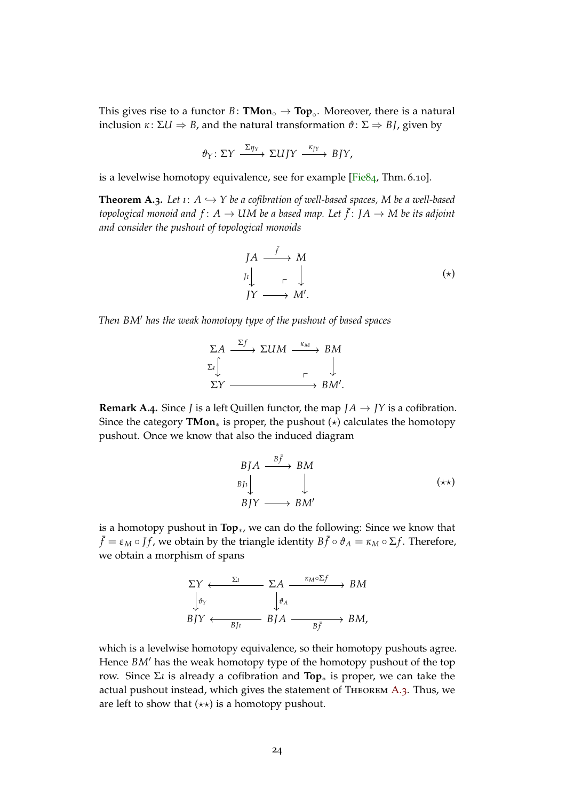<span id="page-23-1"></span>This gives rise to a functor  $B \colon \textbf{TMon}_{\circ} \to \textbf{Top}_{\circ}$ . Moreover, there is a natural inclusion *κ* : Σ*U* ⇒ *B*, and the natural transformation *ϑ* : Σ ⇒ *B J*, given by

$$
\vartheta_Y\colon \Sigma Y \xrightarrow{\Sigma \eta_Y} \Sigma UJY \xrightarrow{\kappa_{JY}} BJY,
$$

is a levelwise homotopy equivalence, see for example [\[Fie](#page-27-15)84, Thm. 6.10].

<span id="page-23-0"></span>**Theorem A.3.** Let  $\iota: A \hookrightarrow Y$  be a cofibration of well-based spaces, M be a well-based topological monoid and  $f \colon A \to UM$  be a based map. Let  $\bar{f} \colon J A \to M$  be its adjoint *and consider the pushout of topological monoids*

$$
\begin{array}{ccc}\nJA & \xrightarrow{\bar{f}} & M \\
J_1 \downarrow & & \downarrow \\
JY & \xrightarrow{\qquad} & M'.\n\end{array} \tag{\star}
$$

*Then BM*<sup>0</sup> *has the weak homotopy type of the pushout of based spaces*

$$
\Sigma A \xrightarrow{\Sigma f} \Sigma U M \xrightarrow{\kappa_M} BM
$$
  

$$
\Sigma I \downarrow \qquad \qquad \Gamma \downarrow
$$
  

$$
\Sigma Y \xrightarrow{\qquad \qquad \Gamma \downarrow} BM'.
$$

**Remark A.4.** Since *J* is a left Quillen functor, the map  $JA \rightarrow JY$  is a cofibration. Since the category **TMon**<sup>∗</sup> is proper, the pushout  $(\star)$  calculates the homotopy pushout. Once we know that also the induced diagram

$$
BJA \xrightarrow{B\bar{f}} BM
$$
  
\n
$$
BJ_1 \downarrow \qquad \qquad \downarrow
$$
  
\n
$$
BJY \longrightarrow BM'
$$
 (\*\*)

is a homotopy pushout in **Top**∗, we can do the following: Since we know that  $\bar{f} = \varepsilon_M \circ \mathcal{J}f$ , we obtain by the triangle identity  $B\bar{f} \circ \vartheta_A = \kappa_M \circ \Sigma f$ . Therefore, we obtain a morphism of spans

$$
\Sigma Y \xleftarrow{\Sigma t} \Sigma A \xrightarrow{\kappa_M \circ \Sigma f} BM
$$
  
\n
$$
\downarrow \phi_Y
$$
  
\n
$$
BJY \xleftarrow{BJt} BJA \xrightarrow{B\bar{f}} BM,
$$

which is a levelwise homotopy equivalence, so their homotopy pushouts agree. Hence *BM'* has the weak homotopy type of the homotopy pushout of the top row. Since Σ*ı* is already a cofibration and **Top**∗ is proper, we can take the actual pushout instead, which gives the statement of Theorem [A.](#page-23-0)3. Thus, we are left to show that  $(\star \star)$  is a homotopy pushout.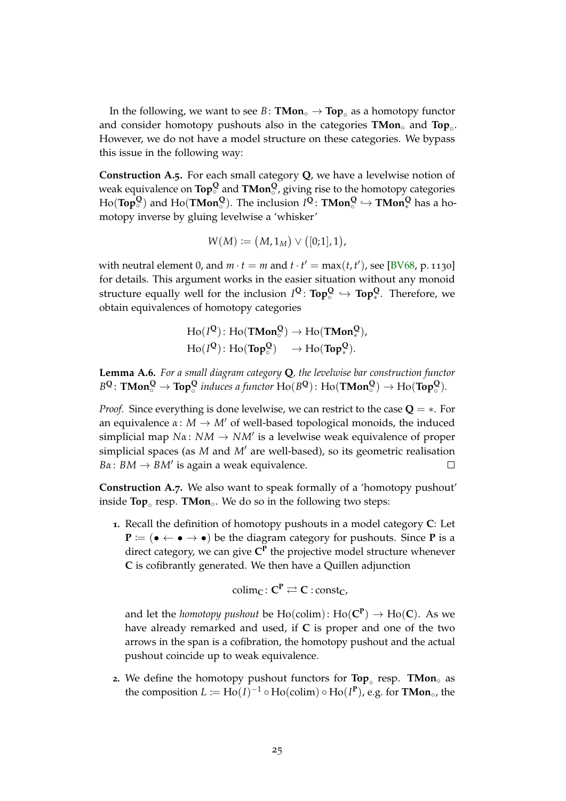<span id="page-24-0"></span>In the following, we want to see  $B \colon \textbf{TMon}_{\circ} \to \textbf{Top}_{\circ}$  as a homotopy functor and consider homotopy pushouts also in the categories **TMon**◦ and **Top**◦ . However, we do not have a model structure on these categories. We bypass this issue in the following way:

**Construction A.5.** For each small category **Q**, we have a levelwise notion of weak equivalence on **Top**<sup>Q</sup> and **TMon**<sup>Q</sup>, giving rise to the homotopy categories  $\text{Ho}(\text{Top}_{\circ}^{\textbf{Q}})$  and  $\text{Ho}(\textbf{TMon}_{\circ}^{\textbf{Q}})$ . The inclusion  $I^{\textbf{Q}}\colon \textbf{TMon}_{\circ}^{\textbf{Q}} \hookrightarrow \textbf{TMon}_{*}^{\textbf{Q}}$  has a homotopy inverse by gluing levelwise a 'whisker'

$$
W(M) := (M, 1_M) \vee ([0;1], 1),
$$

with neutral element 0, and  $m \cdot t = m$  and  $t \cdot t' = \max(t, t')$ , see [\[BV](#page-26-4)68, p. 1130] for details. This argument works in the easier situation without any monoid structure equally well for the inclusion  $I^\mathsf{Q}\colon \mathsf{Top}^\mathsf{Q}_\circ \hookrightarrow \mathsf{Top}^\mathsf{Q}_*$ . Therefore, we obtain equivalences of homotopy categories

$$
Ho(I^{\mathbf{Q}}): Ho(T\mathbf{Mon}_{\circ}^{\mathbf{Q}}) \to Ho(T\mathbf{Mon}_{\ast}^{\mathbf{Q}}),
$$
  

$$
Ho(I^{\mathbf{Q}}): Ho(T\mathbf{op}_{\circ}^{\mathbf{Q}}) \longrightarrow Ho(T\mathbf{op}_{\ast}^{\mathbf{Q}}).
$$

**Lemma A.6.** *For a small diagram category* **Q***, the levelwise bar construction functor*  $B^{\mathbf{Q}}$ :  $\mathbf{TMon}_{\circ}^{\mathbf{Q}} \to \mathbf{Top}_{\circ}^{\mathbf{Q}}$  induces a functor  $\text{Ho}(B^{\mathbf{Q}})$ :  $\text{Ho}(\mathbf{TMon}_{\circ}^{\mathbf{Q}}) \to \text{Ho}(\mathbf{Top}_{\circ}^{\mathbf{Q}})$ .

*Proof.* Since everything is done levelwise, we can restrict to the case **Q** = ∗. For an equivalence  $\alpha$ :  $M \rightarrow M'$  of well-based topological monoids, the induced simplicial map *Nα* : *NM* → *NM*<sup>0</sup> is a levelwise weak equivalence of proper simplicial spaces (as *M* and *M'* are well-based), so its geometric realisation  $B\alpha: BM \rightarrow BM'$  is again a weak equivalence.  $\Box$ 

**Construction A.7.** We also want to speak formally of a 'homotopy pushout' inside **Top**◦ resp. **TMon**◦. We do so in the following two steps:

**1.** Recall the definition of homotopy pushouts in a model category **C**: Let **P** := ( $\bullet \leftarrow \bullet \rightarrow \bullet$ ) be the diagram category for pushouts. Since **P** is a direct category, we can give **C P** the projective model structure whenever **C** is cofibrantly generated. We then have a Quillen adjunction

$$
\text{colim}_C\colon C^P\rightleftarrows C: \text{const}_C,
$$

and let the *homotopy pushout* be  $Ho(colim): Ho(\mathbf{C}^{\mathbf{P}}) \to Ho(\mathbf{C})$ . As we have already remarked and used, if **C** is proper and one of the two arrows in the span is a cofibration, the homotopy pushout and the actual pushout coincide up to weak equivalence.

**2.** We define the homotopy pushout functors for **Top**◦ resp. **TMon**◦ as the composition  $L \coloneqq \text{Ho}(I)^{-1} \circ \text{Ho}(\text{colim}) \circ \text{Ho}(I^{\text{P}})$ , e.g. for **TMon**<sub>°</sub>, the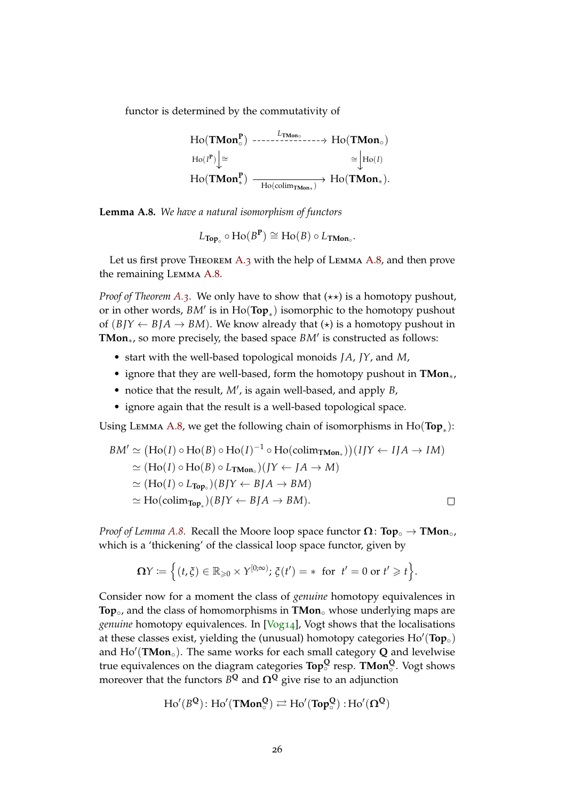<span id="page-25-1"></span>functor is determined by the commutativity of

$$
\begin{aligned}\n\text{Ho}(\text{TMon}_{\circ}^{\text{P}}) &\xrightarrow{\hspace{0.5cm}L_{\text{TMon}_{\circ}}}\text{Ho}(\text{TMon}_{\circ}) \\
\text{Ho}(I^{\text{P}}) &\xrightarrow{\cong} \text{Ho}(I) \\
\text{Ho}(\text{TMon}_{*}^{\text{P}}) &\xrightarrow{\hspace{0.5cm}H_{\text{O}}(\text{colim}_{\text{TMon}_{*}})} \text{Ho}(\text{TMon}_{*}).\n\end{aligned}
$$

<span id="page-25-0"></span>**Lemma A.8.** *We have a natural isomorphism of functors*

$$
L_{\text{Top}_\circ} \circ \text{Ho}(B^{\text{P}}) \cong \text{Ho}(B) \circ L_{\text{TMon}_\circ}.
$$

Let us first prove THEOREM [A.](#page-25-0)3 with the help of LEMMA A.8, and then prove the remaining Lemma [A.](#page-25-0)8.

*Proof of Theorem [A.](#page-23-0)3.* We only have to show that  $(\star \star)$  is a homotopy pushout, or in other words,  $BM'$  is in  $\text{Ho}(\textbf{Top}_*)$  isomorphic to the homotopy pushout of  $(B)Y \leftarrow B/A \rightarrow BM$ ). We know already that  $(\star)$  is a homotopy pushout in TMon<sub>∗</sub>, so more precisely, the based space *BM'* is constructed as follows:

- start with the well-based topological monoids *JA*, *JY*, and *M*,
- ignore that they are well-based, form the homotopy pushout in **TMon**∗,
- notice that the result, M', is again well-based, and apply *B*,
- ignore again that the result is a well-based topological space.

Using Lemma [A.](#page-25-0)8, we get the following chain of isomorphisms in Ho(**Top**<sup>∗</sup> ):

$$
BM' \simeq (\text{Ho}(I) \circ \text{Ho}(B) \circ \text{Ho}(I)^{-1} \circ \text{Ho}(\text{colim}_{\text{TMon}_*})) (IJY \leftarrow IJA \rightarrow IM)
$$
  
\simeq (\text{Ho}(I) \circ \text{Ho}(B) \circ L\_{\text{TMon}\_\*}) (JY \leftarrow JA \rightarrow M)  
\simeq (\text{Ho}(I) \circ L\_{\text{Top}\_\*}) (BJY \leftarrow BJA \rightarrow BM)  
\simeq \text{Ho}(\text{colim}\_{\text{Top}\_\*}) (BJY \leftarrow BJA \rightarrow BM).

*Proof of Lemma [A.](#page-25-0)8.* Recall the Moore loop space functor  $\Omega: Top \rightarrow TMon \circ$ , which is a 'thickening' of the classical loop space functor, given by

$$
\Omega Y := \Big\{ (t,\xi) \in \mathbb{R}_{\geqslant 0} \times Y^{[0,\infty)}; \, \xi(t') = * \, \text{ for } \, t'=0 \text{ or } t' \geqslant t \Big\}.
$$

Consider now for a moment the class of *genuine* homotopy equivalences in **Top**◦, and the class of homomorphisms in **TMon**◦ whose underlying maps are *genuine* homotopy equivalences. In [\[Vog](#page-28-5)14], Vogt shows that the localisations at these classes exist, yielding the (unusual) homotopy categories  $\text{Ho}'(\text{Top}_\circ)$ and Ho'(**TMon**<sub>○</sub>). The same works for each small category **Q** and levelwise true equivalences on the diagram categories **Top<sup>Q</sup>** ◦ resp. **TMon<sup>Q</sup>** ◦ . Vogt shows moreover that the functors  $B^\mathbf{Q}$  and  $\mathbf{\Omega}^\mathbf{Q}$  give rise to an adjunction

$$
\operatorname{Ho}'(B^{\boldsymbol{Q}})\colon \mathrm{Ho}'(T\textbf{Mon}^{\boldsymbol{Q}}_\circ) \rightleftarrows \operatorname{Ho}'(Top^{\boldsymbol{Q}}_\circ): \operatorname{Ho}'(\Omega^{\boldsymbol{Q}})
$$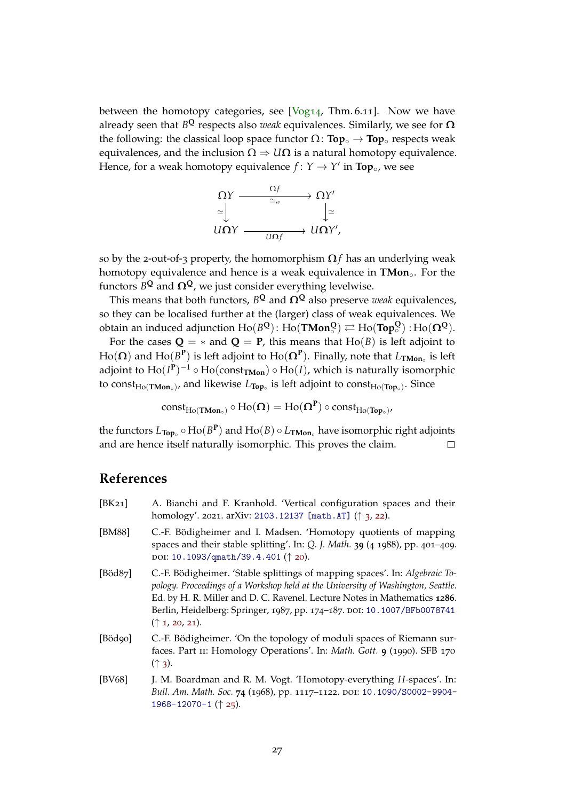<span id="page-26-5"></span>between the homotopy categories, see  $[Vog14, Thm. 6.11]$  $[Vog14, Thm. 6.11]$ . Now we have already seen that *B* **<sup>Q</sup>** respects also *weak* equivalences. Similarly, we see for **Ω** the following: the classical loop space functor  $\Omega$ : **Top**<sup>°</sup> → **Top**<sup>°</sup> respects weak equivalences, and the inclusion  $\Omega \Rightarrow U\Omega$  is a natural homotopy equivalence. Hence, for a weak homotopy equivalence  $f: Y \to Y'$  in **Top**<sup>°</sup>, we see



so by the 2-out-of-3 property, the homomorphism  $\Omega f$  has an underlying weak homotopy equivalence and hence is a weak equivalence in **TMon**<sup>*∘*</sup>. For the functors  $B^\mathbf{Q}$  and  $\mathbf{\Omega}^\mathbf{Q}$ , we just consider everything levelwise.

This means that both functors,  $B^{\mathbf{Q}}$  and  $\mathbf{\Omega}^{\mathbf{Q}}$  also preserve *weak* equivalences, so they can be localised further at the (larger) class of weak equivalences. We  $\text{obtain an induced adjunction } \text{Ho}(B^{\mathbf{Q}}) \colon \text{Ho}(\textbf{TMon}^{\mathbf{Q}}_{\circ}) \rightleftarrows \text{Ho}(\textbf{Top}^{\mathbf{Q}}_{\circ}) : \text{Ho}(\Omega^{\mathbf{Q}}).$ 

For the cases  $Q = *$  and  $Q = P$ , this means that Ho(*B*) is left adjoint to  $\text{Ho}(\mathbf{\Omega})$  and  $\text{Ho}(B^{\mathbf{P}})$  is left adjoint to  $\text{Ho}(\mathbf{\Omega}^{\mathbf{P}}).$  Finally, note that  $L_{\mathbf{TMon}_\circ}$  is left adjoint to  $\text{Ho}(I^{\textbf{P}})^{-1} \circ \text{Ho}(\text{const}_{\textbf{TMon}}) \circ \text{Ho}(I)$ , which is naturally isomorphic to const<sub>Ho(TMon<sub>◦</sub>), and likewise  $L_{\text{Top}_\circ}$  is left adjoint to const<sub>Ho(Top。</sub>). Since</sub>

 $\mathrm{const}_{\mathrm{Ho}(\mathbf{TMon}_\circ)}\circ\mathrm{Ho}(\mathbf{\Omega})=\mathrm{Ho}(\mathbf{\Omega}^\mathbf{P})\circ\mathrm{const}_{\mathrm{Ho}(\mathbf{Top}_\circ)},$ 

the functors *L***Top**◦ ◦ Ho(*B* **P** ) and Ho(*B*) ◦ *L***TMon**◦ have isomorphic right adjoints and are hence itself naturally isomorphic. This proves the claim.  $\Box$ 

### **References**

<span id="page-26-4"></span><span id="page-26-3"></span><span id="page-26-2"></span><span id="page-26-1"></span><span id="page-26-0"></span>[BK21] A. Bianchi and F. Kranhold. 'Vertical configuration spaces and their homology'. 2021. arXiv: [2103.12137 \[math.AT\]](https://arxiv.org/abs/2103.12137) (↑ [3](#page-2-1), [22](#page-21-0)). [BM88] C.-F. Bödigheimer and I. Madsen. 'Homotopy quotients of mapping spaces and their stable splitting'. In: *Q. J. Math.* **39** (4 1988), pp. 401–409. doi: [10.1093/qmath/39.4.401](https://doi.org/10.1093/qmath/39.4.401) (↑ [20](#page-19-2)). [Böd87] C.-F. Bödigheimer. 'Stable splittings of mapping spaces'. In: *Algebraic Topology. Proceedings of a Workshop held at the University of Washington, Seattle*. Ed. by H. R. Miller and D. C. Ravenel. Lecture Notes in Mathematics **1286**. Berlin, Heidelberg: Springer, 1987, pp. 174-187. DOI: [10.1007/BFb0078741](https://doi.org/10.1007/BFb0078741) (↑ [1](#page-0-0), [20](#page-19-2), [21](#page-20-0)). [Böd90] C.-F. Bödigheimer. 'On the topology of moduli spaces of Riemann surfaces. Part ii: Homology Operations'. In: *Math. Gott.* **9** (1990). SFB 170  $(† 3)$  $(† 3)$  $(† 3)$ . [BV68] J. M. Boardman and R. M. Vogt. 'Homotopy-everything *H*-spaces'. In: *Bull. Am. Math. Soc.* **74** (1968), pp. 1117–1122. doi: [10.1090/S0002-9904-](https://doi.org/10.1090/S0002-9904-1968-12070-1) [1968-12070-1](https://doi.org/10.1090/S0002-9904-1968-12070-1) (↑ [25](#page-24-0)).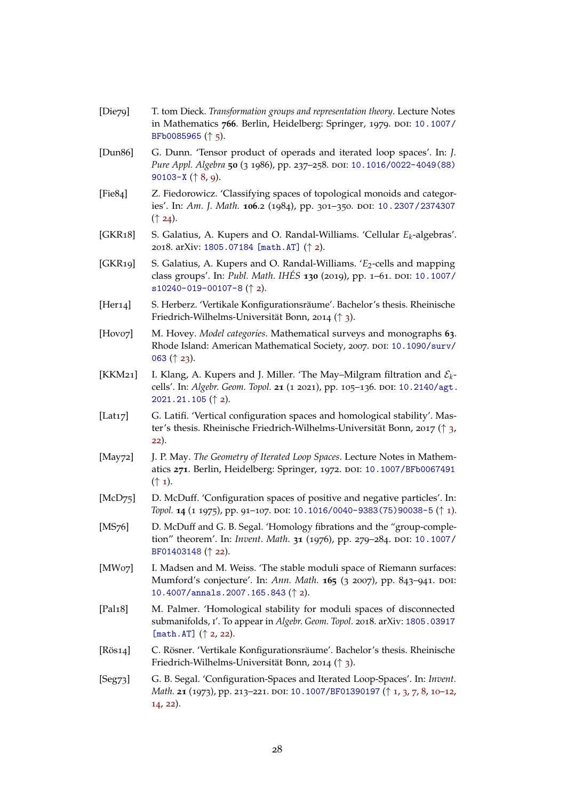<span id="page-27-15"></span><span id="page-27-14"></span><span id="page-27-13"></span><span id="page-27-12"></span><span id="page-27-10"></span><span id="page-27-9"></span><span id="page-27-8"></span><span id="page-27-7"></span><span id="page-27-6"></span><span id="page-27-5"></span><span id="page-27-4"></span><span id="page-27-3"></span><span id="page-27-2"></span><span id="page-27-1"></span><span id="page-27-0"></span>

|             | BFb0085965 $($ $\uparrow$ 5).                                                                                                                                                              |
|-------------|--------------------------------------------------------------------------------------------------------------------------------------------------------------------------------------------|
| [Dun86]     | G. Dunn. 'Tensor product of operads and iterated loop spaces'. In: J.<br>Pure Appl. Algebra 50 (3 1986), pp. 237-258. DOI: 10.1016/0022-4049(88)<br>90103-X $(\uparrow 8, 9)$ .            |
| [Fe84]      | Z. Fiedorowicz. 'Classifying spaces of topological monoids and categor-<br>ies'. In: Am. J. Math. 106.2 (1984), pp. 301-350. DOI: 10.2307/2374307<br>$($   24).                            |
| [GKR18]     | S. Galatius, A. Kupers and O. Randal-Williams. 'Cellular $E_k$ -algebras'.<br>2018. arXiv: 1805.07184 [math.AT] († 2).                                                                     |
| [GKR19]     | S. Galatius, A. Kupers and O. Randal-Williams. ' $E_2$ -cells and mapping<br>class groups'. In: Publ. Math. IHÉS 130 (2019), pp. 1-61. DOI: 10.1007/<br>$s10240 - 019 - 00107 - 8$ († 2).  |
| [Her14]     | S. Herberz. 'Vertikale Konfigurationsräume'. Bachelor's thesis. Rheinische<br>Friedrich-Wilhelms-Universität Bonn, 2014 († 3).                                                             |
| [Hovo7]     | M. Hovey. Model categories. Mathematical surveys and monographs 63.<br>Rhode Island: American Mathematical Society, 2007. DOI: 10.1090/surv/<br>063 $($ 23).                               |
| [KKM21]     | I. Klang, A. Kupers and J. Miller. 'The May-Milgram filtration and $\mathcal{E}_k$ -<br>cells'. In: Algebr. Geom. Topol. 21 (1 2021), pp. 105-136. DOI: 10.2140/agt.<br>2021.21.105 (↑ 2). |
| [Lat17]     | G. Latifi. 'Vertical configuration spaces and homological stability'. Mas-<br>ter's thesis. Rheinische Friedrich-Wilhelms-Universität Bonn, 2017 († 3,<br>22).                             |
| [ $May72$ ] | J. P. May. The Geometry of Iterated Loop Spaces. Lecture Notes in Mathem-<br>atics 271. Berlin, Heidelberg: Springer, 1972. DOI: 10.1007/BFb0067491<br>$(\uparrow$ 1).                     |
| [ $McD75$ ] | D. McDuff. 'Configuration spaces of positive and negative particles'. In:<br>Topol. 14 (1 1975), pp. 91-107. DOI: 10.1016/0040-9383 (75) 90038-5 ( $\uparrow$ 1).                          |
| [ $MS76$ ]  | D. McDuff and G. B. Segal. 'Homology fibrations and the "group-comple-<br>tion" theorem'. In: Invent. Math. 31 (1976), pp. 279-284. DOI: 10.1007/<br>BF01403148 (1 22).                    |
| [MWo7]      | I. Madsen and M. Weiss. 'The stable moduli space of Riemann surfaces:<br>Mumford's conjecture'. In: Ann. Math. 165 (3 2007), pp. 843-941. DOI:<br>10.4007/annals.2007.165.843 (↑ 2).       |
| [Pal18]     | M. Palmer. 'Homological stability for moduli spaces of disconnected<br>submanifolds, I'. To appear in Algebr. Geom. Topol. 2018. arXiv: 1805.03917<br>[math.AT] $(\uparrow$ 2, 22).        |
| [ $R$ ös14] | C. Rösner. 'Vertikale Konfigurationsräume'. Bachelor's thesis. Rheinische<br>Friedrich-Wilhelms-Universität Bonn, 2014 († 3).                                                              |
| [Seg73]     | G. B. Segal. 'Configuration-Spaces and Iterated Loop-Spaces'. In: Invent.<br>Math. 21 (1973), pp. 213-221. DOI: 10.1007/BF01390197 (1, 3, 7, 8, 10-12,<br>14, 22).                         |
|             |                                                                                                                                                                                            |

<span id="page-27-11"></span>[Die79] T. tom Dieck. *Transformation groups and representation theory*. Lecture Notes

in Mathematics 766. Berlin, Heidelberg: Springer, 1979. DOI: [10.1007/](https://doi.org/10.1007/BFb0085965)